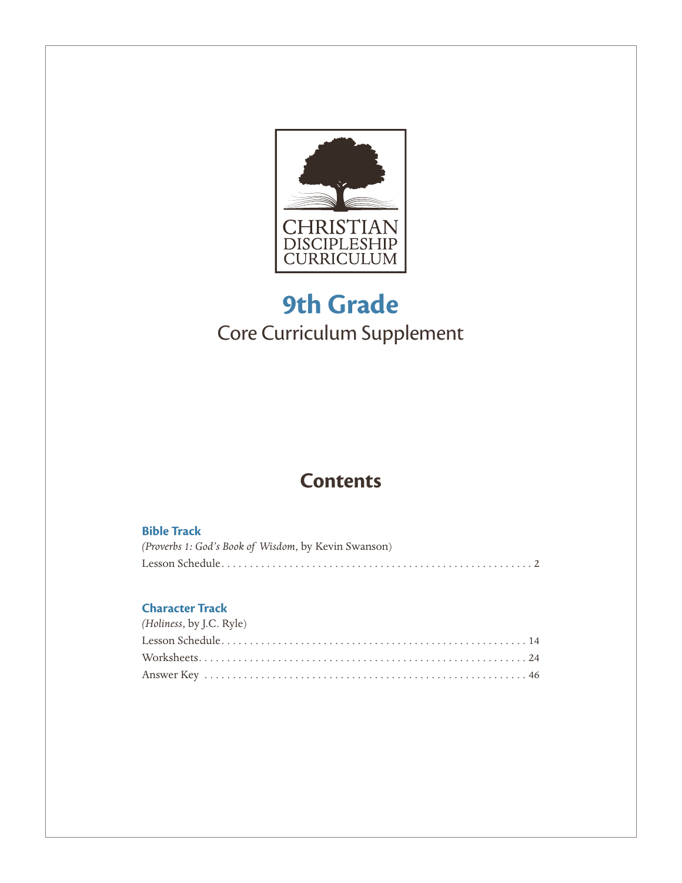

## **9th Grade** Core Curriculum Supplement

### **Contents**

#### **Bible Track**

| (Proverbs 1: God's Book of Wisdom, by Kevin Swanson) |
|------------------------------------------------------|
|                                                      |

### **Character Track**

| (Holiness, by J.C. Ryle) |
|--------------------------|
|                          |
|                          |
|                          |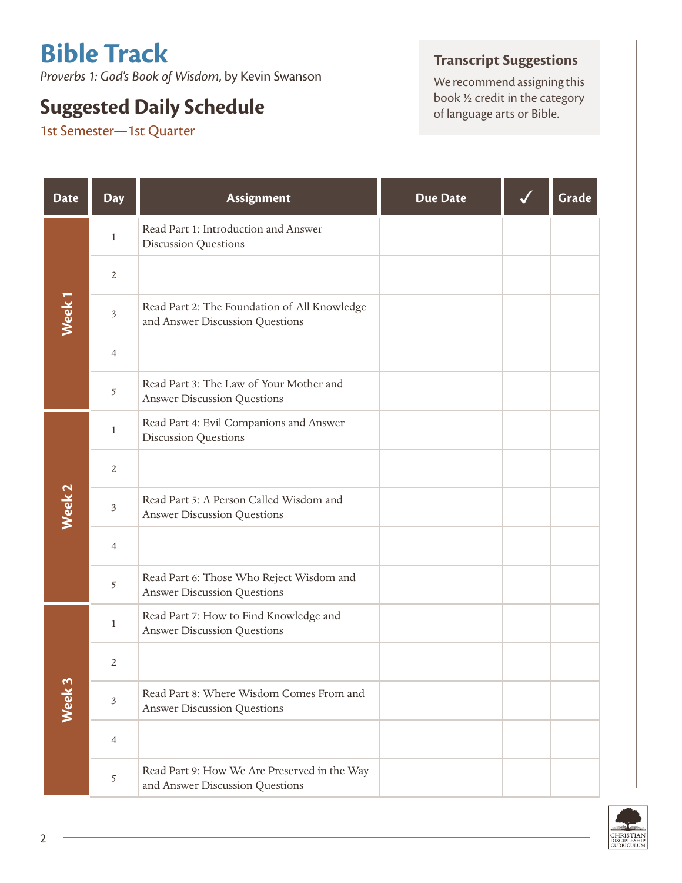# **Bible Track**

*Proverbs 1: God's Book of Wisdom*, by Kevin Swanson

## **Suggested Daily Schedule Suggested Daily Schedule Suggested Daily Schedule of language arts or Bible.**

1st Semester—1st Quarter

### **Transcript Suggestions**

We recommend assigning this<br>book  $\frac{1}{2}$  credit in the category

| <b>Date</b>       | <b>Day</b>     | Assignment                                                                      | <b>Due Date</b> | Grade |
|-------------------|----------------|---------------------------------------------------------------------------------|-----------------|-------|
|                   | $\mathbf{1}$   | Read Part 1: Introduction and Answer<br><b>Discussion Questions</b>             |                 |       |
|                   | $\overline{2}$ |                                                                                 |                 |       |
| Week <sub>1</sub> | $\mathfrak{Z}$ | Read Part 2: The Foundation of All Knowledge<br>and Answer Discussion Questions |                 |       |
|                   | $\overline{4}$ |                                                                                 |                 |       |
|                   | 5              | Read Part 3: The Law of Your Mother and<br><b>Answer Discussion Questions</b>   |                 |       |
|                   | $\mathbf{1}$   | Read Part 4: Evil Companions and Answer<br><b>Discussion Questions</b>          |                 |       |
|                   | $\overline{2}$ |                                                                                 |                 |       |
| Week <sub>2</sub> | $\mathfrak{Z}$ | Read Part 5: A Person Called Wisdom and<br><b>Answer Discussion Questions</b>   |                 |       |
|                   | $\overline{4}$ |                                                                                 |                 |       |
|                   | 5              | Read Part 6: Those Who Reject Wisdom and<br><b>Answer Discussion Questions</b>  |                 |       |
|                   | $\mathbf{1}$   | Read Part 7: How to Find Knowledge and<br><b>Answer Discussion Questions</b>    |                 |       |
|                   | $\overline{2}$ |                                                                                 |                 |       |
| Week <sub>3</sub> | $\mathfrak{Z}$ | Read Part 8: Where Wisdom Comes From and<br><b>Answer Discussion Questions</b>  |                 |       |
|                   | $\overline{4}$ |                                                                                 |                 |       |
|                   | 5              | Read Part 9: How We Are Preserved in the Way<br>and Answer Discussion Questions |                 |       |

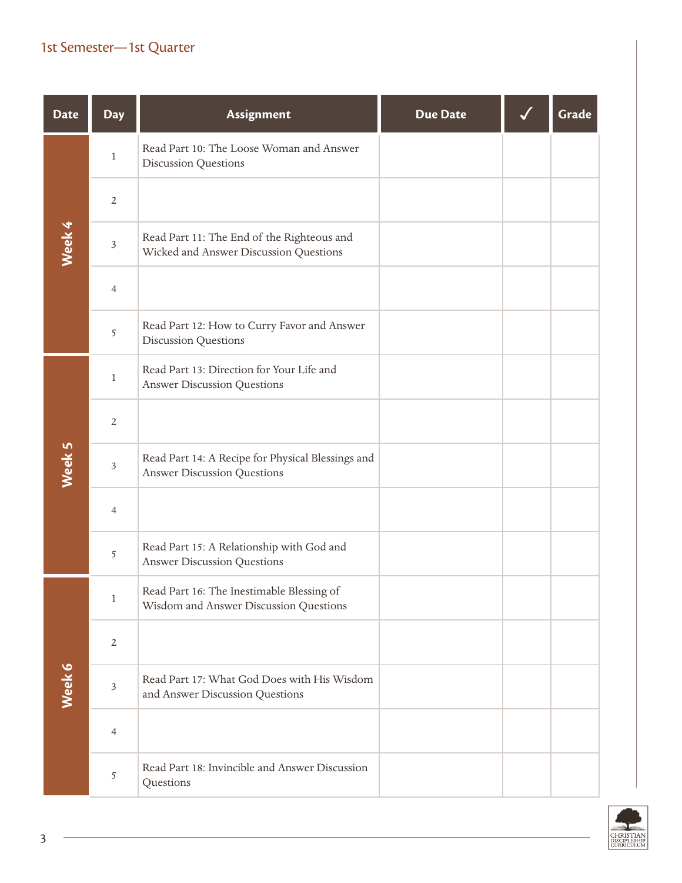### 1st Semester—1st Quarter

| <b>Date</b> | <b>Day</b>     | Assignment                                                                              | <b>Due Date</b> | Grade |
|-------------|----------------|-----------------------------------------------------------------------------------------|-----------------|-------|
|             | $\mathbf{1}$   | Read Part 10: The Loose Woman and Answer<br>Discussion Questions                        |                 |       |
|             | $\overline{2}$ |                                                                                         |                 |       |
| Week 4      | $\sqrt{3}$     | Read Part 11: The End of the Righteous and<br>Wicked and Answer Discussion Questions    |                 |       |
|             | $\overline{4}$ |                                                                                         |                 |       |
|             | $\sqrt{5}$     | Read Part 12: How to Curry Favor and Answer<br><b>Discussion Questions</b>              |                 |       |
|             | $\mathbf{1}$   | Read Part 13: Direction for Your Life and<br><b>Answer Discussion Questions</b>         |                 |       |
|             | $\overline{2}$ |                                                                                         |                 |       |
| Week 5      | $\sqrt{3}$     | Read Part 14: A Recipe for Physical Blessings and<br><b>Answer Discussion Questions</b> |                 |       |
|             | $\overline{4}$ |                                                                                         |                 |       |
|             | $\sqrt{5}$     | Read Part 15: A Relationship with God and<br><b>Answer Discussion Questions</b>         |                 |       |
|             | 1              | Read Part 16: The Inestimable Blessing of<br>Wisdom and Answer Discussion Questions     |                 |       |
|             | $\sqrt{2}$     |                                                                                         |                 |       |
| Week 6      | $\sqrt{3}$     | Read Part 17: What God Does with His Wisdom<br>and Answer Discussion Questions          |                 |       |
|             | $\overline{4}$ |                                                                                         |                 |       |
|             | $\sqrt{5}$     | Read Part 18: Invincible and Answer Discussion<br>Questions                             |                 |       |

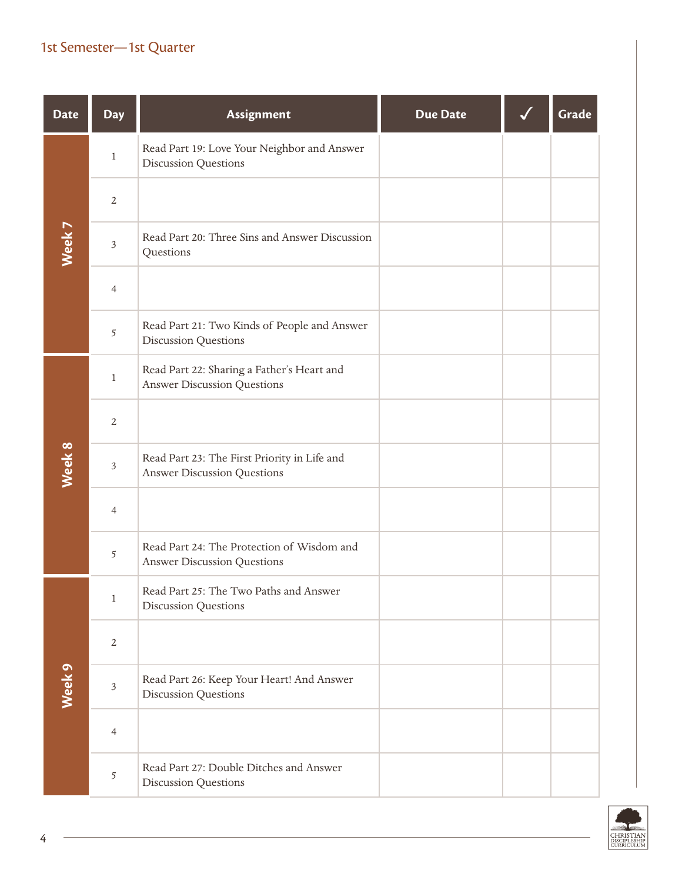### 1st Semester—1st Quarter

| <b>Date</b> | <b>Day</b>              | Assignment                                                                         | <b>Due Date</b> | Grade |
|-------------|-------------------------|------------------------------------------------------------------------------------|-----------------|-------|
|             | $\,1$                   | Read Part 19: Love Your Neighbor and Answer<br><b>Discussion Questions</b>         |                 |       |
|             | $\overline{2}$          |                                                                                    |                 |       |
| Week 7      | $\mathfrak{Z}$          | Read Part 20: Three Sins and Answer Discussion<br>Questions                        |                 |       |
|             | $\overline{4}$          |                                                                                    |                 |       |
|             | 5                       | Read Part 21: Two Kinds of People and Answer<br>Discussion Questions               |                 |       |
|             | $\,1$                   | Read Part 22: Sharing a Father's Heart and<br><b>Answer Discussion Questions</b>   |                 |       |
|             | $\overline{2}$          |                                                                                    |                 |       |
| Week 8      | $\overline{\mathbf{3}}$ | Read Part 23: The First Priority in Life and<br><b>Answer Discussion Questions</b> |                 |       |
|             | $\overline{4}$          |                                                                                    |                 |       |
|             | 5                       | Read Part 24: The Protection of Wisdom and<br><b>Answer Discussion Questions</b>   |                 |       |
|             | $\mathbf{1}$            | Read Part 25: The Two Paths and Answer<br><b>Discussion Questions</b>              |                 |       |
|             | $\overline{2}$          |                                                                                    |                 |       |
| Week 9      | $\mathfrak{Z}$          | Read Part 26: Keep Your Heart! And Answer<br><b>Discussion Questions</b>           |                 |       |
|             | $\overline{4}$          |                                                                                    |                 |       |
|             | 5                       | Read Part 27: Double Ditches and Answer<br><b>Discussion Questions</b>             |                 |       |

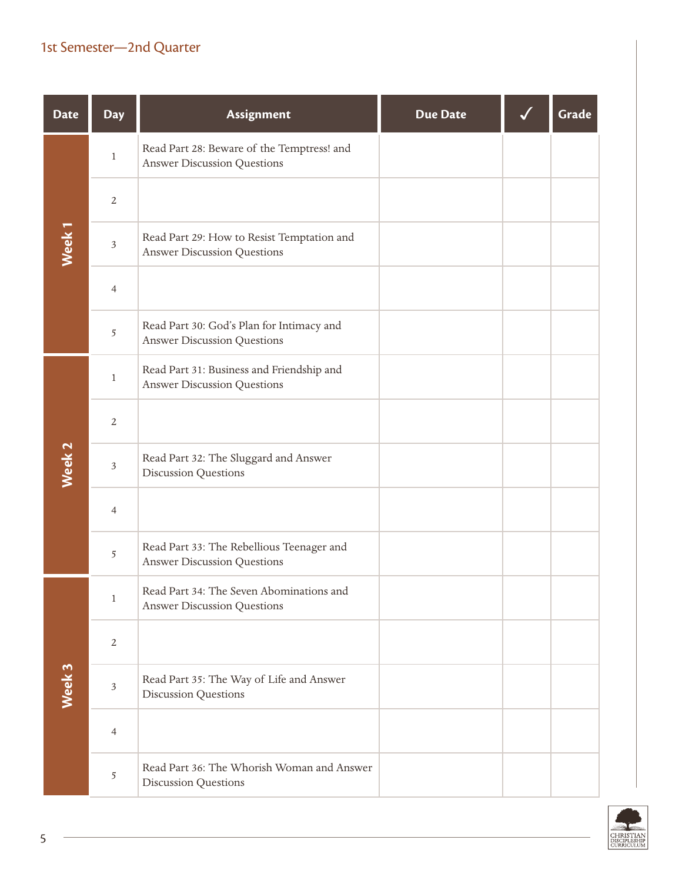| <b>Date</b>       | <b>Day</b>     | Assignment                                                                       | <b>Due Date</b> | Grade |
|-------------------|----------------|----------------------------------------------------------------------------------|-----------------|-------|
|                   | $\,1$          | Read Part 28: Beware of the Temptress! and<br><b>Answer Discussion Questions</b> |                 |       |
|                   | $\overline{2}$ |                                                                                  |                 |       |
| Week <sub>1</sub> | 3              | Read Part 29: How to Resist Temptation and<br><b>Answer Discussion Questions</b> |                 |       |
|                   | $\overline{4}$ |                                                                                  |                 |       |
|                   | 5              | Read Part 30: God's Plan for Intimacy and<br><b>Answer Discussion Questions</b>  |                 |       |
|                   | $\mathbf{1}$   | Read Part 31: Business and Friendship and<br><b>Answer Discussion Questions</b>  |                 |       |
|                   | $\overline{2}$ |                                                                                  |                 |       |
| Week <sub>2</sub> | $\mathfrak{Z}$ | Read Part 32: The Sluggard and Answer<br><b>Discussion Questions</b>             |                 |       |
|                   | $\overline{4}$ |                                                                                  |                 |       |
|                   | 5              | Read Part 33: The Rebellious Teenager and<br><b>Answer Discussion Questions</b>  |                 |       |
|                   | $\mathbf{1}$   | Read Part 34: The Seven Abominations and<br><b>Answer Discussion Questions</b>   |                 |       |
|                   | $\overline{2}$ |                                                                                  |                 |       |
| Week 3            | $\mathfrak{Z}$ | Read Part 35: The Way of Life and Answer<br><b>Discussion Questions</b>          |                 |       |
|                   | 4              |                                                                                  |                 |       |
|                   | 5              | Read Part 36: The Whorish Woman and Answer<br><b>Discussion Questions</b>        |                 |       |

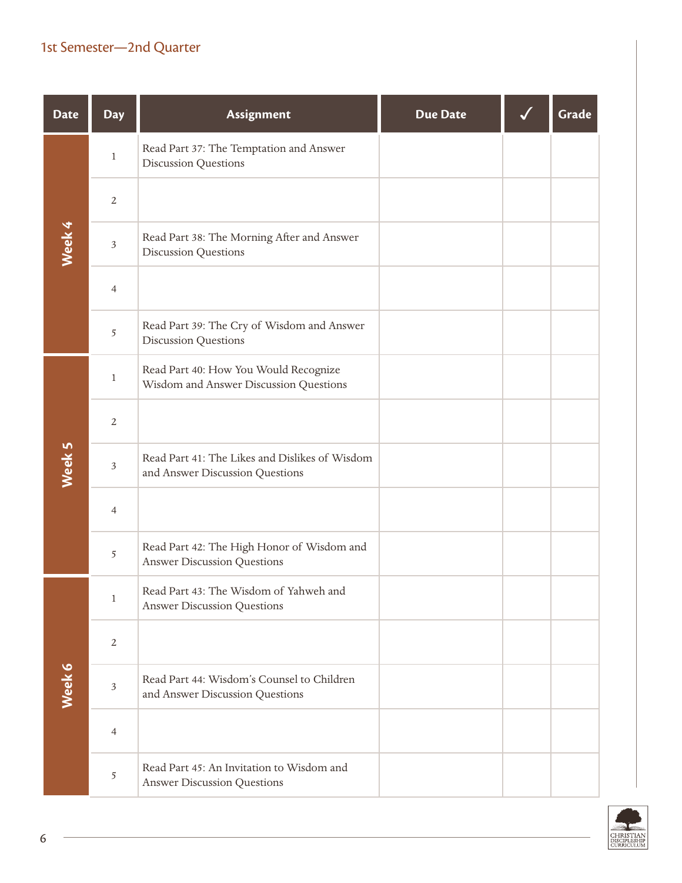| <b>Date</b> | <b>Day</b>     | Assignment                                                                        | <b>Due Date</b> | Grade |
|-------------|----------------|-----------------------------------------------------------------------------------|-----------------|-------|
|             | $\mathbf{1}$   | Read Part 37: The Temptation and Answer<br><b>Discussion Questions</b>            |                 |       |
|             | $\overline{2}$ |                                                                                   |                 |       |
| Week 4      | $\mathfrak{Z}$ | Read Part 38: The Morning After and Answer<br><b>Discussion Questions</b>         |                 |       |
|             | $\overline{4}$ |                                                                                   |                 |       |
|             | 5              | Read Part 39: The Cry of Wisdom and Answer<br>Discussion Questions                |                 |       |
|             | $\mathbf{1}$   | Read Part 40: How You Would Recognize<br>Wisdom and Answer Discussion Questions   |                 |       |
|             | $\overline{2}$ |                                                                                   |                 |       |
| Week 5      | $\mathfrak{Z}$ | Read Part 41: The Likes and Dislikes of Wisdom<br>and Answer Discussion Questions |                 |       |
|             | $\overline{4}$ |                                                                                   |                 |       |
|             | 5              | Read Part 42: The High Honor of Wisdom and<br><b>Answer Discussion Questions</b>  |                 |       |
|             | $\mathbf{1}$   | Read Part 43: The Wisdom of Yahweh and<br><b>Answer Discussion Questions</b>      |                 |       |
|             | 2              |                                                                                   |                 |       |
| Week 6      | $\mathfrak{Z}$ | Read Part 44: Wisdom's Counsel to Children<br>and Answer Discussion Questions     |                 |       |
|             | $\overline{4}$ |                                                                                   |                 |       |
|             | 5              | Read Part 45: An Invitation to Wisdom and<br><b>Answer Discussion Questions</b>   |                 |       |

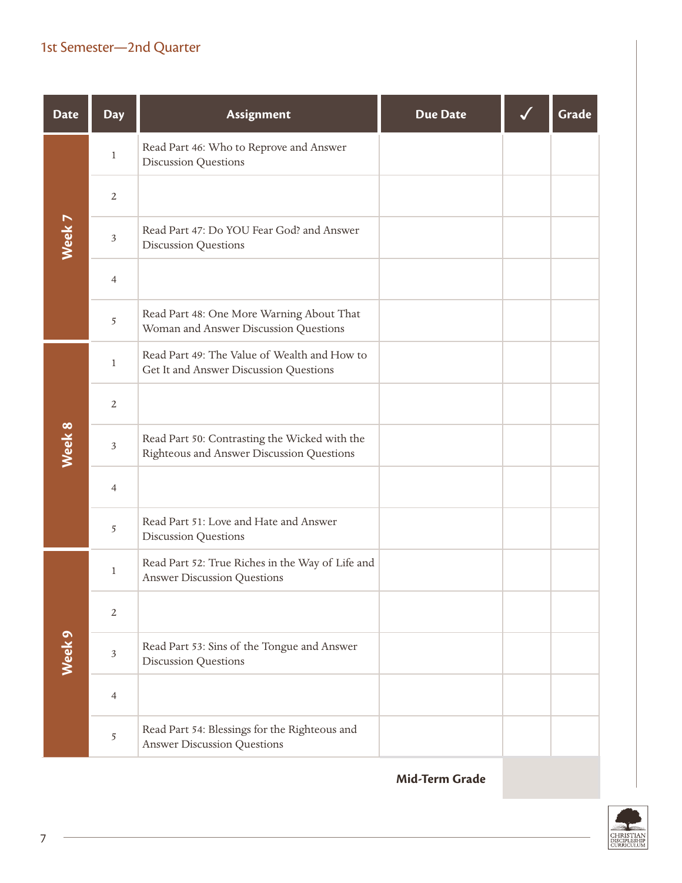| <b>Date</b>       | <b>Day</b>     | Assignment                                                                                 | <b>Due Date</b> | Grade |
|-------------------|----------------|--------------------------------------------------------------------------------------------|-----------------|-------|
|                   | $\mathbf{1}$   | Read Part 46: Who to Reprove and Answer<br><b>Discussion Questions</b>                     |                 |       |
|                   | $\overline{2}$ |                                                                                            |                 |       |
| Week <sub>7</sub> | $\mathfrak{Z}$ | Read Part 47: Do YOU Fear God? and Answer<br><b>Discussion Questions</b>                   |                 |       |
|                   | $\overline{4}$ |                                                                                            |                 |       |
|                   | 5              | Read Part 48: One More Warning About That<br>Woman and Answer Discussion Questions         |                 |       |
|                   | $\mathbf{1}$   | Read Part 49: The Value of Wealth and How to<br>Get It and Answer Discussion Questions     |                 |       |
|                   | $\overline{2}$ |                                                                                            |                 |       |
| Week 8            | $\mathfrak{Z}$ | Read Part 50: Contrasting the Wicked with the<br>Righteous and Answer Discussion Questions |                 |       |
|                   | $\overline{4}$ |                                                                                            |                 |       |
|                   | 5              | Read Part 51: Love and Hate and Answer<br>Discussion Questions                             |                 |       |
|                   | $\mathbf{1}$   | Read Part 52: True Riches in the Way of Life and<br><b>Answer Discussion Questions</b>     |                 |       |
|                   | $\sqrt{2}$     |                                                                                            |                 |       |
| Week <sub>9</sub> | $\mathfrak{Z}$ | Read Part 53: Sins of the Tongue and Answer<br><b>Discussion Questions</b>                 |                 |       |
|                   | $\overline{4}$ |                                                                                            |                 |       |
|                   | 5              | Read Part 54: Blessings for the Righteous and<br><b>Answer Discussion Questions</b>        |                 |       |

**Mid-Term Grade**

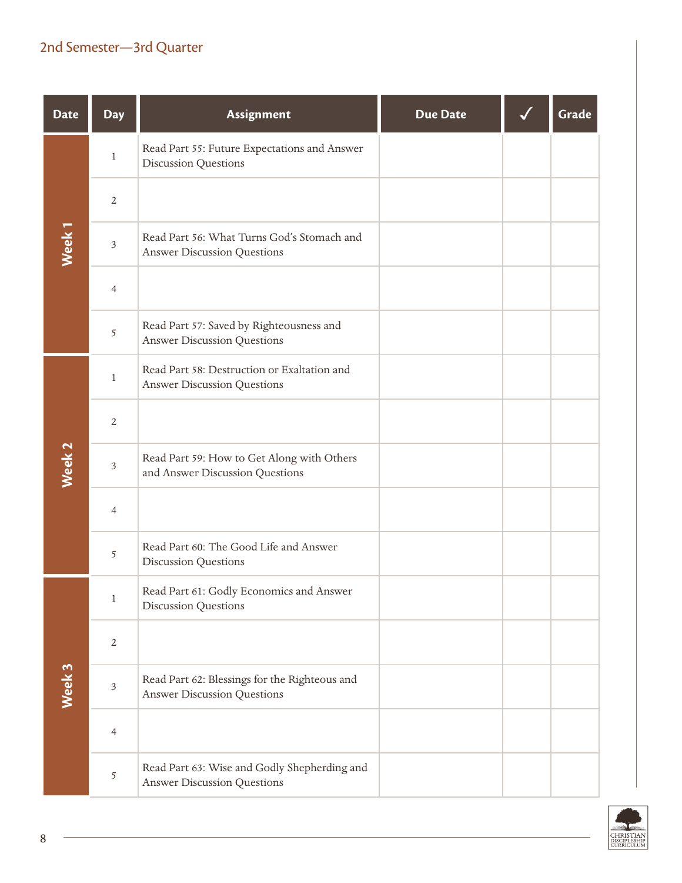| <b>Date</b>       | <b>Day</b>     | <b>Assignment</b>                                                                   | <b>Due Date</b> | Grade |
|-------------------|----------------|-------------------------------------------------------------------------------------|-----------------|-------|
|                   | $\mathbf{1}$   | Read Part 55: Future Expectations and Answer<br><b>Discussion Questions</b>         |                 |       |
|                   | $\overline{2}$ |                                                                                     |                 |       |
| Week <sub>1</sub> | $\mathfrak{Z}$ | Read Part 56: What Turns God's Stomach and<br><b>Answer Discussion Questions</b>    |                 |       |
|                   | $\overline{4}$ |                                                                                     |                 |       |
|                   | 5              | Read Part 57: Saved by Righteousness and<br><b>Answer Discussion Questions</b>      |                 |       |
|                   | $\mathbf{1}$   | Read Part 58: Destruction or Exaltation and<br><b>Answer Discussion Questions</b>   |                 |       |
|                   | $\overline{2}$ |                                                                                     |                 |       |
| Week <sub>2</sub> | $\mathfrak{Z}$ | Read Part 59: How to Get Along with Others<br>and Answer Discussion Questions       |                 |       |
|                   | $\overline{4}$ |                                                                                     |                 |       |
|                   | 5              | Read Part 60: The Good Life and Answer<br><b>Discussion Questions</b>               |                 |       |
|                   | $\mathbf{1}$   | Read Part 61: Godly Economics and Answer<br><b>Discussion Questions</b>             |                 |       |
|                   | $\mathbf{2}$   |                                                                                     |                 |       |
| Week 3            | $\sqrt{3}$     | Read Part 62: Blessings for the Righteous and<br><b>Answer Discussion Questions</b> |                 |       |
|                   | $\overline{4}$ |                                                                                     |                 |       |
|                   | 5              | Read Part 63: Wise and Godly Shepherding and<br><b>Answer Discussion Questions</b>  |                 |       |

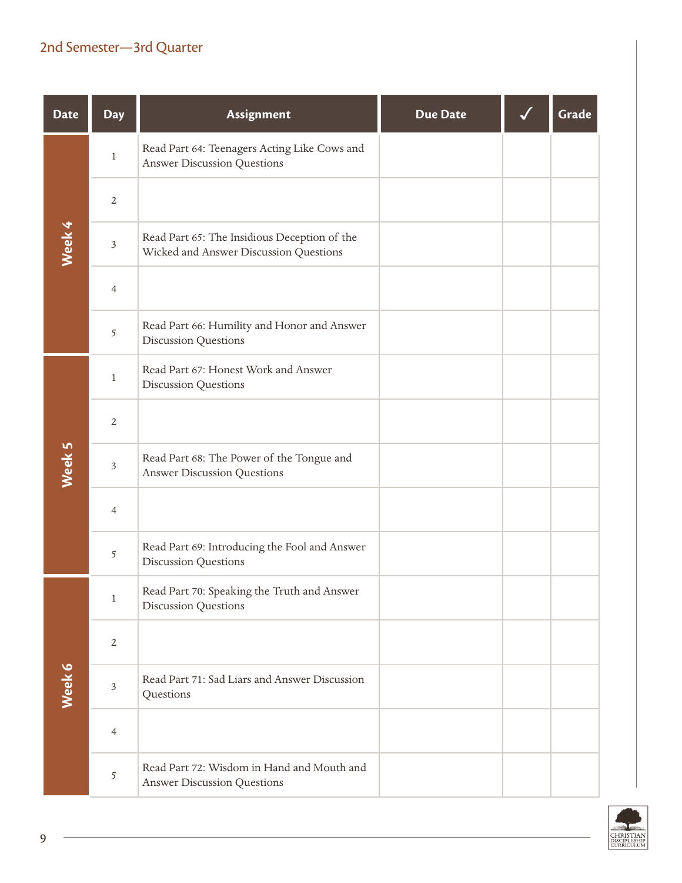| <b>Date</b> | <b>Day</b>     | Assignment                                                                             | <b>Due Date</b> | Grade |
|-------------|----------------|----------------------------------------------------------------------------------------|-----------------|-------|
|             | $\mathbf{1}$   | Read Part 64: Teenagers Acting Like Cows and<br><b>Answer Discussion Questions</b>     |                 |       |
|             | $\overline{2}$ |                                                                                        |                 |       |
| Week 4      | $\sqrt{3}$     | Read Part 65: The Insidious Deception of the<br>Wicked and Answer Discussion Questions |                 |       |
|             | $\overline{4}$ |                                                                                        |                 |       |
|             | 5              | Read Part 66: Humility and Honor and Answer<br><b>Discussion Questions</b>             |                 |       |
|             | $\mathbf{1}$   | Read Part 67: Honest Work and Answer<br>Discussion Questions                           |                 |       |
|             | $\overline{2}$ |                                                                                        |                 |       |
| Week 5      | $\sqrt{3}$     | Read Part 68: The Power of the Tongue and<br><b>Answer Discussion Questions</b>        |                 |       |
|             | $\overline{4}$ |                                                                                        |                 |       |
|             | 5              | Read Part 69: Introducing the Fool and Answer<br><b>Discussion Questions</b>           |                 |       |
|             | $\mathbf{1}$   | Read Part 70: Speaking the Truth and Answer<br><b>Discussion Questions</b>             |                 |       |
|             | $\sqrt{2}$     |                                                                                        |                 |       |
| Week 6      | $\sqrt{3}$     | Read Part 71: Sad Liars and Answer Discussion<br>Questions                             |                 |       |
|             | $\overline{4}$ |                                                                                        |                 |       |
|             | 5              | Read Part 72: Wisdom in Hand and Mouth and<br><b>Answer Discussion Questions</b>       |                 |       |

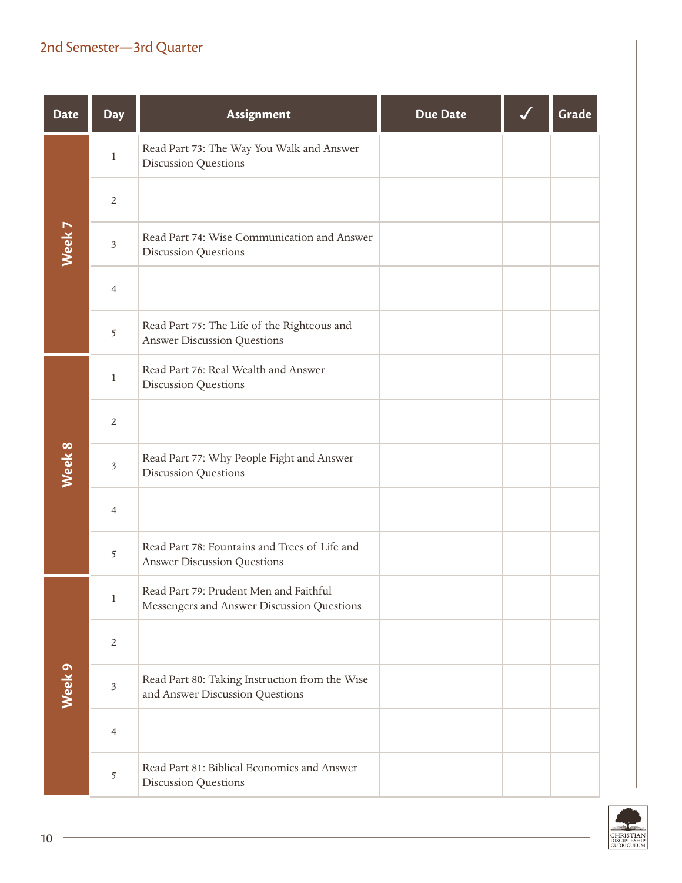| <b>Date</b> | <b>Day</b>     | <b>Assignment</b>                                                                    | <b>Due Date</b> | Grade |
|-------------|----------------|--------------------------------------------------------------------------------------|-----------------|-------|
|             | $\,1$          | Read Part 73: The Way You Walk and Answer<br><b>Discussion Questions</b>             |                 |       |
|             | $\overline{2}$ |                                                                                      |                 |       |
| Week 7      | $\sqrt{3}$     | Read Part 74: Wise Communication and Answer<br><b>Discussion Questions</b>           |                 |       |
|             | $\overline{4}$ |                                                                                      |                 |       |
|             | 5              | Read Part 75: The Life of the Righteous and<br><b>Answer Discussion Questions</b>    |                 |       |
|             | $\mathbf{1}$   | Read Part 76: Real Wealth and Answer<br><b>Discussion Questions</b>                  |                 |       |
|             | $\overline{2}$ |                                                                                      |                 |       |
| Week 8      | $\mathfrak{Z}$ | Read Part 77: Why People Fight and Answer<br><b>Discussion Questions</b>             |                 |       |
|             | $\overline{4}$ |                                                                                      |                 |       |
|             | 5              | Read Part 78: Fountains and Trees of Life and<br><b>Answer Discussion Questions</b>  |                 |       |
|             | $\mathbf{1}$   | Read Part 79: Prudent Men and Faithful<br>Messengers and Answer Discussion Questions |                 |       |
|             | $\sqrt{2}$     |                                                                                      |                 |       |
| Week 9      | $\sqrt{3}$     | Read Part 80: Taking Instruction from the Wise<br>and Answer Discussion Questions    |                 |       |
|             | $\overline{4}$ |                                                                                      |                 |       |
|             | 5              | Read Part 81: Biblical Economics and Answer<br><b>Discussion Questions</b>           |                 |       |



 $\sim$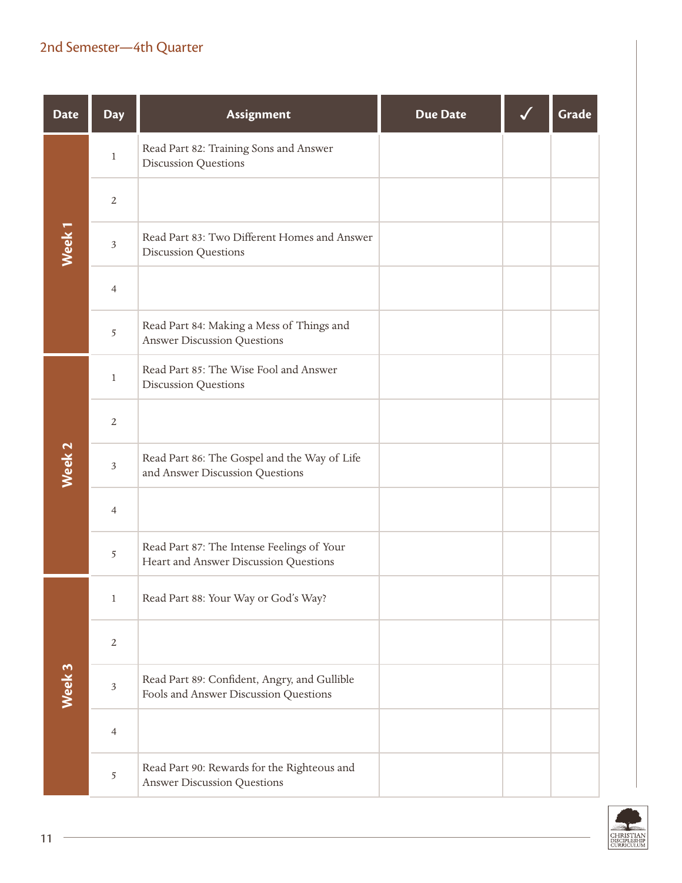| <b>Date</b>       | <b>Day</b>     | Assignment                                                                            | <b>Due Date</b> | Grade |
|-------------------|----------------|---------------------------------------------------------------------------------------|-----------------|-------|
|                   | $\mathbf{1}$   | Read Part 82: Training Sons and Answer<br><b>Discussion Questions</b>                 |                 |       |
|                   | $\overline{2}$ |                                                                                       |                 |       |
| Week <sub>1</sub> | $\mathfrak{Z}$ | Read Part 83: Two Different Homes and Answer<br><b>Discussion Questions</b>           |                 |       |
|                   | $\overline{4}$ |                                                                                       |                 |       |
|                   | 5              | Read Part 84: Making a Mess of Things and<br><b>Answer Discussion Questions</b>       |                 |       |
|                   | $\mathbf{1}$   | Read Part 85: The Wise Fool and Answer<br><b>Discussion Questions</b>                 |                 |       |
|                   | $\overline{2}$ |                                                                                       |                 |       |
| Week <sub>2</sub> | $\mathfrak{Z}$ | Read Part 86: The Gospel and the Way of Life<br>and Answer Discussion Questions       |                 |       |
|                   | $\overline{4}$ |                                                                                       |                 |       |
|                   | 5              | Read Part 87: The Intense Feelings of Your<br>Heart and Answer Discussion Questions   |                 |       |
|                   | $\mathbf{1}$   | Read Part 88: Your Way or God's Way?                                                  |                 |       |
|                   | $\sqrt{2}$     |                                                                                       |                 |       |
| Week 3            | $\sqrt{3}$     | Read Part 89: Confident, Angry, and Gullible<br>Fools and Answer Discussion Questions |                 |       |
|                   | $\overline{4}$ |                                                                                       |                 |       |
|                   | 5              | Read Part 90: Rewards for the Righteous and<br><b>Answer Discussion Questions</b>     |                 |       |

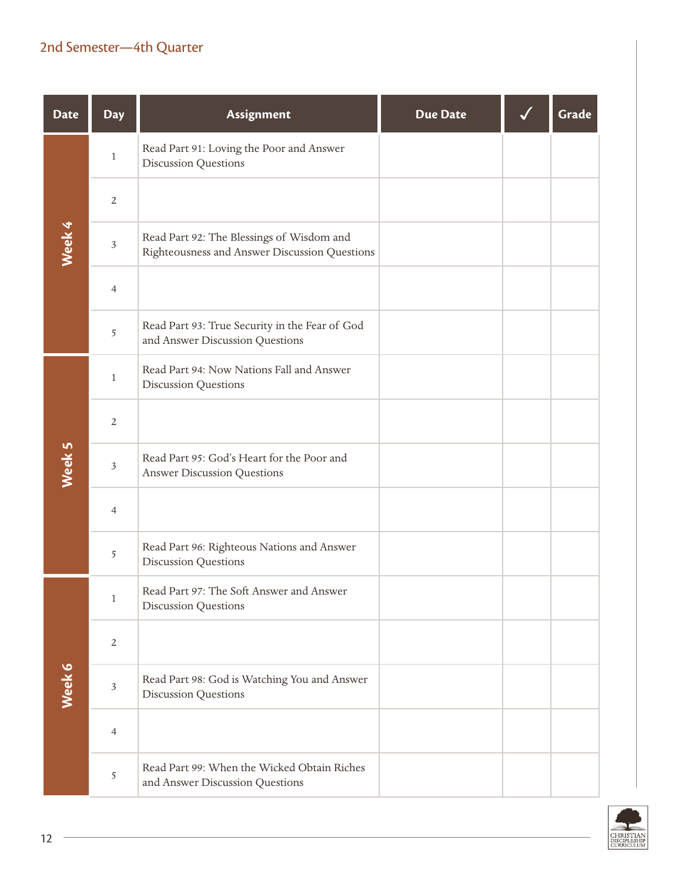| <b>Date</b> | <b>Day</b>     | Assignment                                                                                 | <b>Due Date</b> | Grade |
|-------------|----------------|--------------------------------------------------------------------------------------------|-----------------|-------|
|             | $\mathbf{1}$   | Read Part 91: Loving the Poor and Answer<br><b>Discussion Questions</b>                    |                 |       |
|             | $\overline{2}$ |                                                                                            |                 |       |
| Week 4      | $\mathfrak{Z}$ | Read Part 92: The Blessings of Wisdom and<br>Righteousness and Answer Discussion Questions |                 |       |
|             | $\overline{4}$ |                                                                                            |                 |       |
|             | 5              | Read Part 93: True Security in the Fear of God<br>and Answer Discussion Questions          |                 |       |
|             | $\mathbf{1}$   | Read Part 94: Now Nations Fall and Answer<br>Discussion Questions                          |                 |       |
|             | $\sqrt{2}$     |                                                                                            |                 |       |
| Week 5      | $\mathfrak{Z}$ | Read Part 95: God's Heart for the Poor and<br><b>Answer Discussion Questions</b>           |                 |       |
|             | $\overline{4}$ |                                                                                            |                 |       |
|             | 5              | Read Part 96: Righteous Nations and Answer<br><b>Discussion Questions</b>                  |                 |       |
|             | $\mathbf{1}$   | Read Part 97: The Soft Answer and Answer<br><b>Discussion Questions</b>                    |                 |       |
|             | $\sqrt{2}$     |                                                                                            |                 |       |
| Week 6      | $\mathfrak{Z}$ | Read Part 98: God is Watching You and Answer<br><b>Discussion Questions</b>                |                 |       |
|             | 4              |                                                                                            |                 |       |
|             | 5              | Read Part 99: When the Wicked Obtain Riches<br>and Answer Discussion Questions             |                 |       |

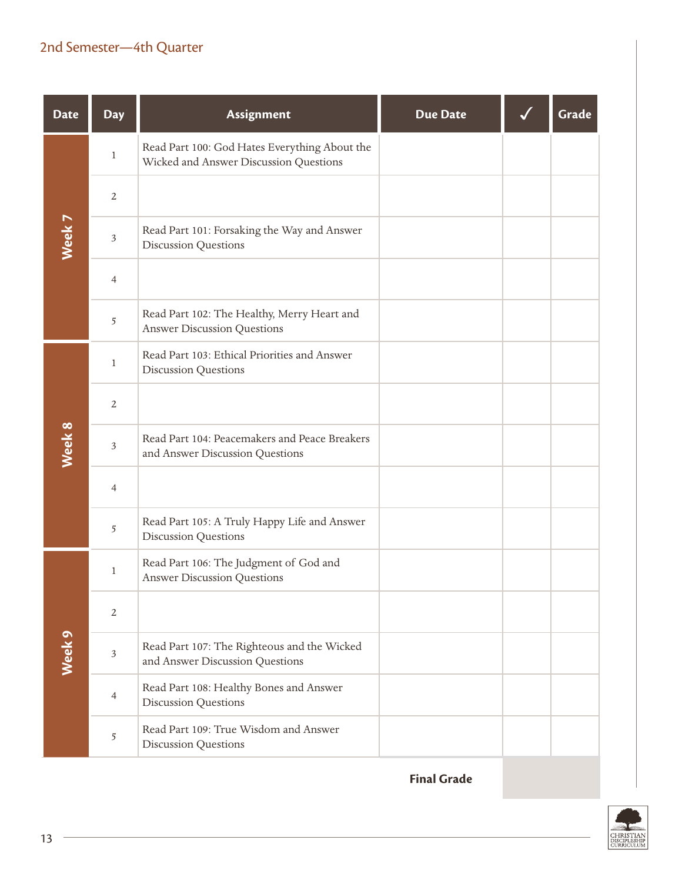| <b>Date</b>       | <b>Day</b>     | Assignment                                                                              | <b>Due Date</b> | Grade |
|-------------------|----------------|-----------------------------------------------------------------------------------------|-----------------|-------|
|                   | $\mathbf{1}$   | Read Part 100: God Hates Everything About the<br>Wicked and Answer Discussion Questions |                 |       |
|                   | $\overline{2}$ |                                                                                         |                 |       |
| Week 7            | $\mathfrak{Z}$ | Read Part 101: Forsaking the Way and Answer<br><b>Discussion Questions</b>              |                 |       |
|                   | $\overline{4}$ |                                                                                         |                 |       |
|                   | 5              | Read Part 102: The Healthy, Merry Heart and<br><b>Answer Discussion Questions</b>       |                 |       |
|                   | $\mathbf{1}$   | Read Part 103: Ethical Priorities and Answer<br><b>Discussion Questions</b>             |                 |       |
|                   | $\overline{2}$ |                                                                                         |                 |       |
| Week 8            | $\mathfrak{Z}$ | Read Part 104: Peacemakers and Peace Breakers<br>and Answer Discussion Questions        |                 |       |
|                   | $\overline{4}$ |                                                                                         |                 |       |
|                   | 5              | Read Part 105: A Truly Happy Life and Answer<br><b>Discussion Questions</b>             |                 |       |
|                   | $\mathbf{1}$   | Read Part 106: The Judgment of God and<br><b>Answer Discussion Questions</b>            |                 |       |
|                   | $\overline{2}$ |                                                                                         |                 |       |
| Week <sub>9</sub> | $\mathfrak{Z}$ | Read Part 107: The Righteous and the Wicked<br>and Answer Discussion Questions          |                 |       |
|                   | $\overline{4}$ | Read Part 108: Healthy Bones and Answer<br><b>Discussion Questions</b>                  |                 |       |
|                   | 5              | Read Part 109: True Wisdom and Answer<br><b>Discussion Questions</b>                    |                 |       |

**Final Grade**

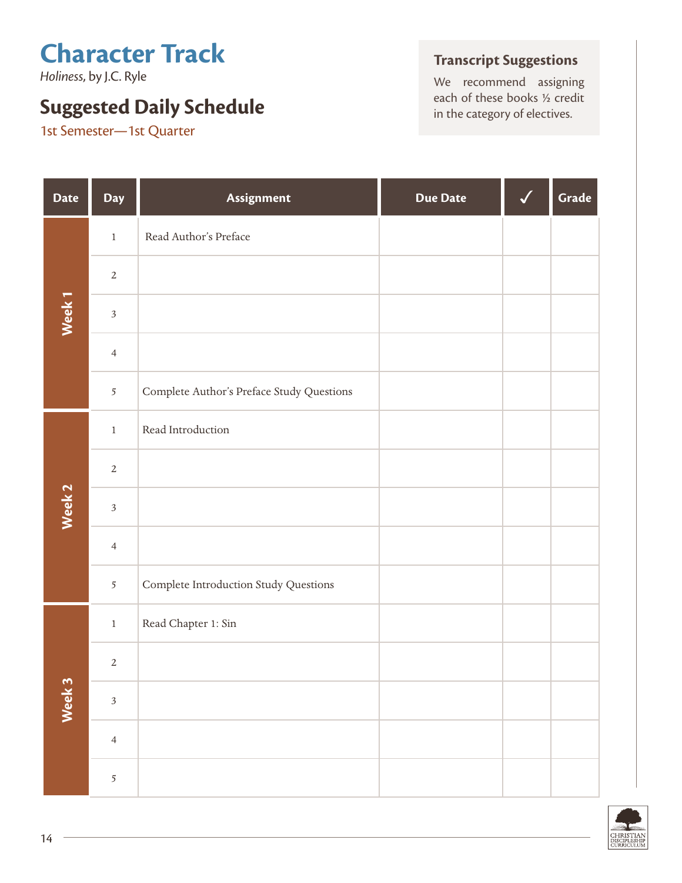*Holiness*, by J.C. Ryle

## **Suggested Daily Schedule** each of these books 1/2 cred **Suggested Daily Schedule in the category of electives.**

1st Semester—1st Quarter

### **Transcript Suggestions**

We recommend assigning<br>each of these books  $\frac{1}{2}$  credit

| <b>Date</b>       | Day            | Assignment                                | <b>Due Date</b> | Grade |
|-------------------|----------------|-------------------------------------------|-----------------|-------|
|                   | $\,1$          | Read Author's Preface                     |                 |       |
|                   | $\sqrt{2}$     |                                           |                 |       |
| Week <sub>1</sub> | $\mathfrak{Z}$ |                                           |                 |       |
|                   | $\overline{4}$ |                                           |                 |       |
|                   | $\sqrt{5}$     | Complete Author's Preface Study Questions |                 |       |
|                   | $\,1\,$        | Read Introduction                         |                 |       |
|                   | $\sqrt{2}$     |                                           |                 |       |
| Week <sub>2</sub> | $\mathfrak{Z}$ |                                           |                 |       |
|                   | $\overline{4}$ |                                           |                 |       |
|                   | $\overline{5}$ | Complete Introduction Study Questions     |                 |       |
|                   | $\,1\,$        | Read Chapter 1: Sin                       |                 |       |
|                   | $\sqrt{2}$     |                                           |                 |       |
| Week 3            | $\mathfrak{Z}$ |                                           |                 |       |
|                   | $\overline{4}$ |                                           |                 |       |
|                   | $\sqrt{5}$     |                                           |                 |       |

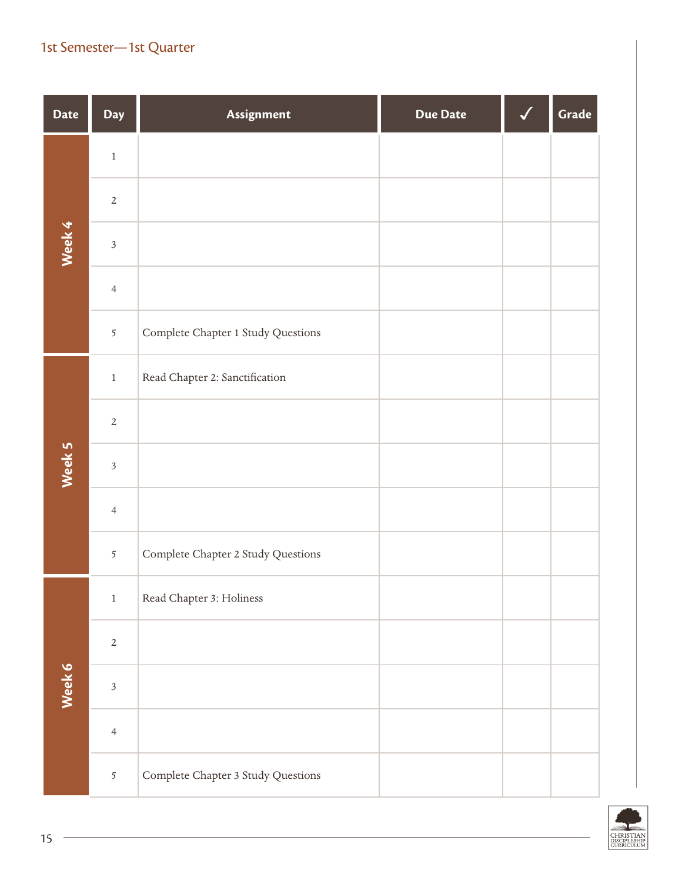### 1st Semester—1st Quarter

| <b>Date</b> | Day                     | Assignment                         | <b>Due Date</b> | Grade |
|-------------|-------------------------|------------------------------------|-----------------|-------|
|             | $\,1$                   |                                    |                 |       |
|             | $\sqrt{2}$              |                                    |                 |       |
| Week 4      | $\mathfrak{Z}$          |                                    |                 |       |
|             | $\overline{4}$          |                                    |                 |       |
|             | 5                       | Complete Chapter 1 Study Questions |                 |       |
|             | $\,1$                   | Read Chapter 2: Sanctification     |                 |       |
|             | $\sqrt{2}$              |                                    |                 |       |
| Week 5      | $\overline{\mathbf{3}}$ |                                    |                 |       |
|             | $\overline{4}$          |                                    |                 |       |
|             | $\overline{5}$          | Complete Chapter 2 Study Questions |                 |       |
|             | $\,1$                   | Read Chapter 3: Holiness           |                 |       |
|             | $\sqrt{2}$              |                                    |                 |       |
| Week 6      | $\mathfrak{Z}$          |                                    |                 |       |
|             | $\overline{4}$          |                                    |                 |       |
|             | $\overline{5}$          | Complete Chapter 3 Study Questions |                 |       |

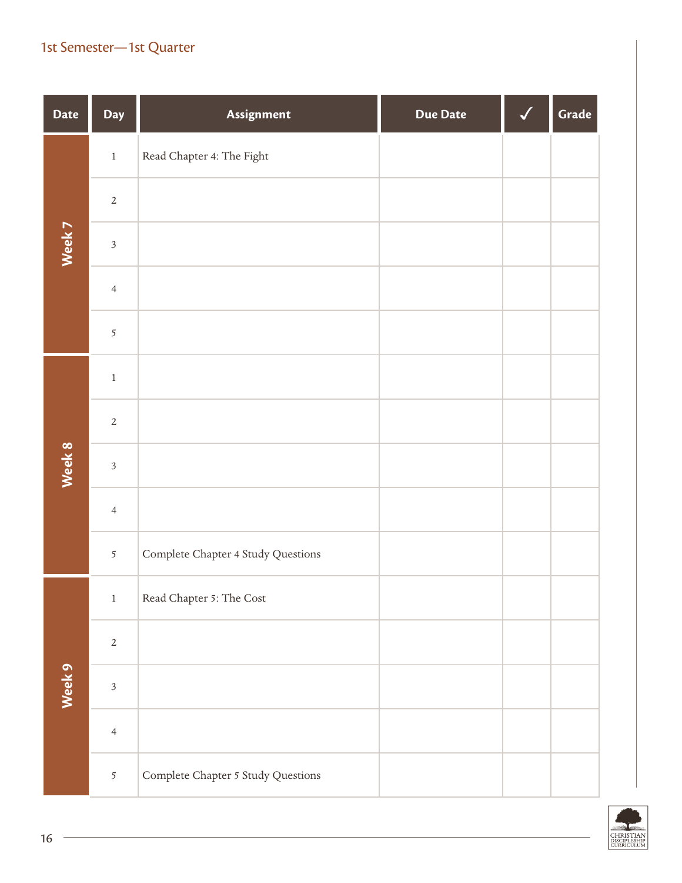### 1st Semester—1st Quarter

| <b>Date</b> | Day                     | Assignment                         | <b>Due Date</b> | Grade |
|-------------|-------------------------|------------------------------------|-----------------|-------|
|             | $\,1$                   | Read Chapter 4: The Fight          |                 |       |
|             | $\overline{2}$          |                                    |                 |       |
| Week 7      | $\mathfrak{Z}$          |                                    |                 |       |
|             | $\overline{4}$          |                                    |                 |       |
|             | 5                       |                                    |                 |       |
|             | $\,1$                   |                                    |                 |       |
|             | $\overline{2}$          |                                    |                 |       |
| Week 8      | $\mathfrak{Z}$          |                                    |                 |       |
|             | $\overline{4}$          |                                    |                 |       |
|             | 5                       | Complete Chapter 4 Study Questions |                 |       |
|             | $\,1$                   | Read Chapter 5: The Cost           |                 |       |
|             | $\overline{2}$          |                                    |                 |       |
| Week 9      | $\overline{\mathbf{3}}$ |                                    |                 |       |
|             | $\overline{4}$          |                                    |                 |       |
|             | $\overline{5}$          | Complete Chapter 5 Study Questions |                 |       |

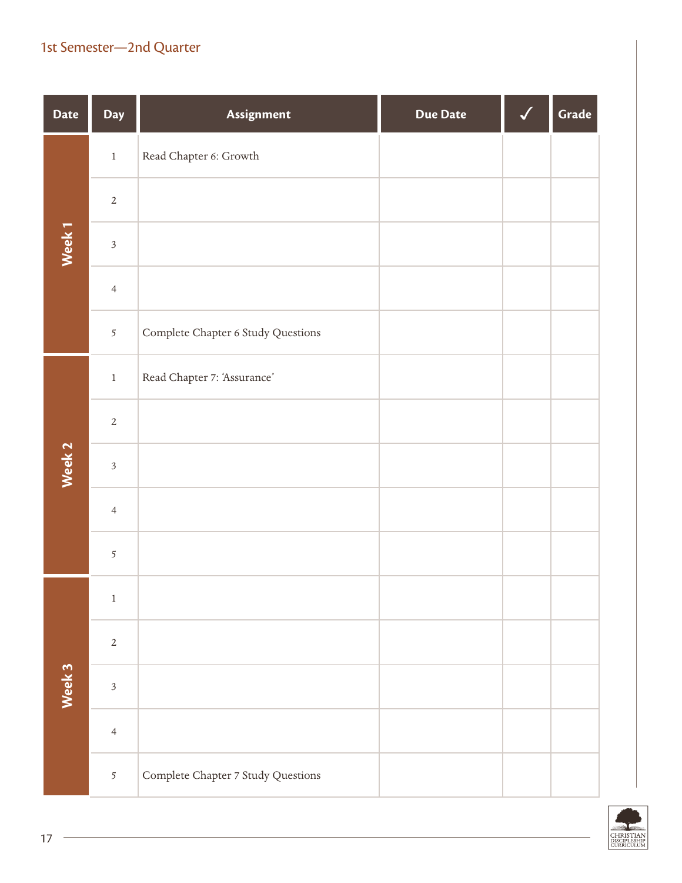| <b>Date</b>       | Day                     | Assignment                         | <b>Due Date</b> | Grade |
|-------------------|-------------------------|------------------------------------|-----------------|-------|
|                   | $\,1$                   | Read Chapter 6: Growth             |                 |       |
|                   | $\overline{2}$          |                                    |                 |       |
| Week 1            | $\overline{\mathbf{3}}$ |                                    |                 |       |
|                   | $\overline{4}$          |                                    |                 |       |
|                   | 5                       | Complete Chapter 6 Study Questions |                 |       |
|                   | $\,1$                   | Read Chapter 7: 'Assurance'        |                 |       |
|                   | $\overline{2}$          |                                    |                 |       |
| Week <sub>2</sub> | $\mathfrak{Z}$          |                                    |                 |       |
|                   | $\overline{4}$          |                                    |                 |       |
|                   | 5                       |                                    |                 |       |
|                   | $\,1$                   |                                    |                 |       |
|                   | $\overline{2}$          |                                    |                 |       |
| Week 3            | $\overline{3}$          |                                    |                 |       |
|                   | $\overline{4}$          |                                    |                 |       |
|                   | $\overline{5}$          | Complete Chapter 7 Study Questions |                 |       |

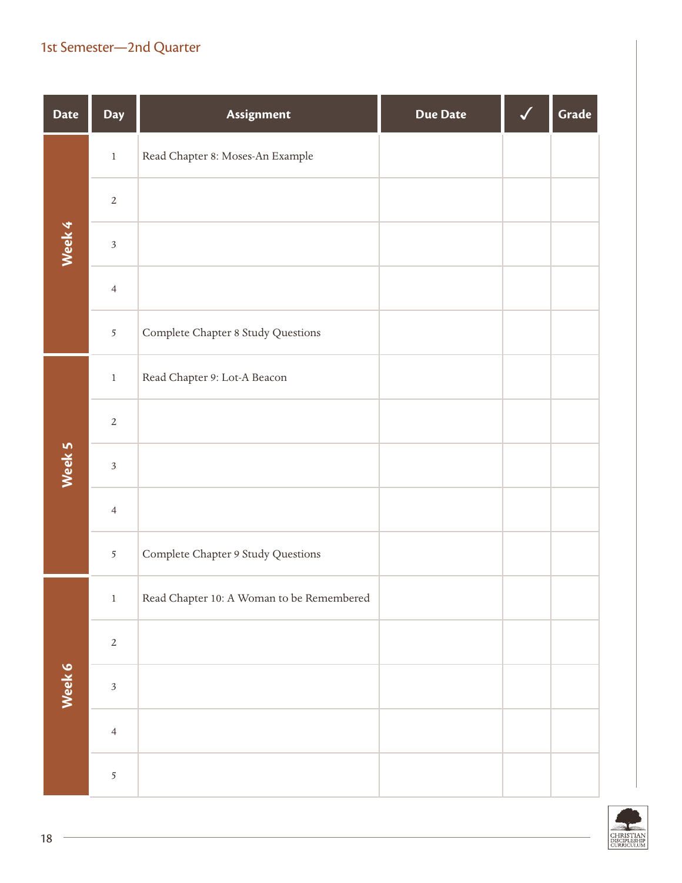| <b>Date</b> | Day            | Assignment                                | <b>Due Date</b> | Grade |
|-------------|----------------|-------------------------------------------|-----------------|-------|
|             | $\,1$          | Read Chapter 8: Moses-An Example          |                 |       |
|             | $\overline{2}$ |                                           |                 |       |
| Week 4      | $\sqrt{3}$     |                                           |                 |       |
|             | $\overline{4}$ |                                           |                 |       |
|             | 5              | Complete Chapter 8 Study Questions        |                 |       |
|             | $\,1$          | Read Chapter 9: Lot-A Beacon              |                 |       |
|             | $\overline{2}$ |                                           |                 |       |
| Week 5      | $\sqrt{3}$     |                                           |                 |       |
|             | $\overline{4}$ |                                           |                 |       |
|             | 5              | Complete Chapter 9 Study Questions        |                 |       |
|             | $\,1$          | Read Chapter 10: A Woman to be Remembered |                 |       |
|             | $\sqrt{2}$     |                                           |                 |       |
| Week 6      | $\overline{3}$ |                                           |                 |       |
|             | $\overline{4}$ |                                           |                 |       |
|             | 5              |                                           |                 |       |

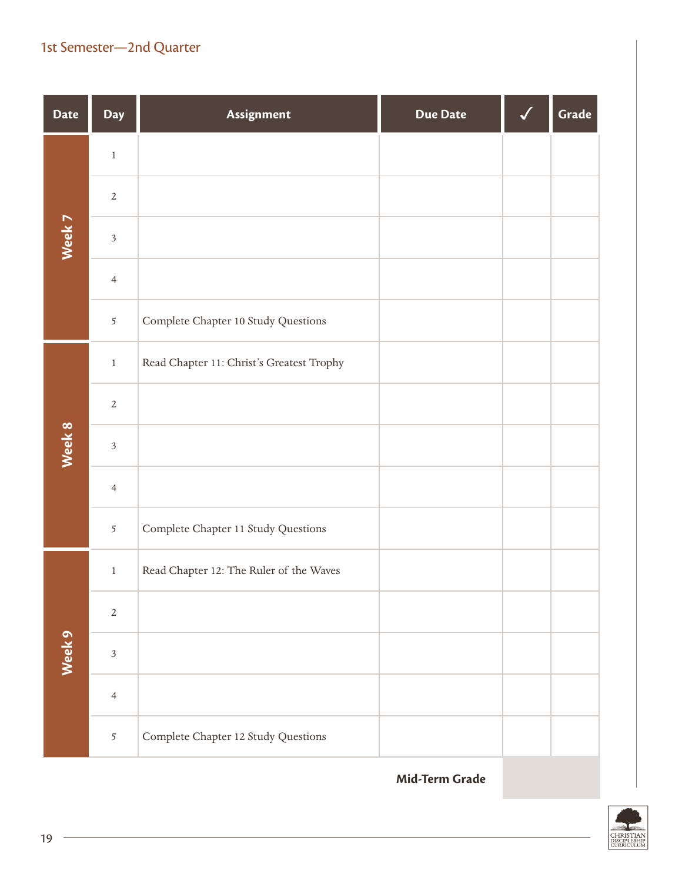| <b>Date</b> | <b>Day</b>     | Assignment                                | <b>Due Date</b> | Grade |
|-------------|----------------|-------------------------------------------|-----------------|-------|
|             | $\,1$          |                                           |                 |       |
|             | $\overline{2}$ |                                           |                 |       |
| Week 7      | $\sqrt{3}$     |                                           |                 |       |
|             | $\overline{4}$ |                                           |                 |       |
|             | 5              | Complete Chapter 10 Study Questions       |                 |       |
|             | $\,1$          | Read Chapter 11: Christ's Greatest Trophy |                 |       |
|             | $\sqrt{2}$     |                                           |                 |       |
| Week 8      | $\mathfrak{Z}$ |                                           |                 |       |
|             | $\overline{4}$ |                                           |                 |       |
|             | 5              | Complete Chapter 11 Study Questions       |                 |       |
|             | $\,1$          | Read Chapter 12: The Ruler of the Waves   |                 |       |
|             | $\overline{2}$ |                                           |                 |       |
| Week 9      | $\mathfrak{Z}$ |                                           |                 |       |
|             | $\overline{4}$ |                                           |                 |       |
|             | 5              | Complete Chapter 12 Study Questions       |                 |       |

**Mid-Term Grade**

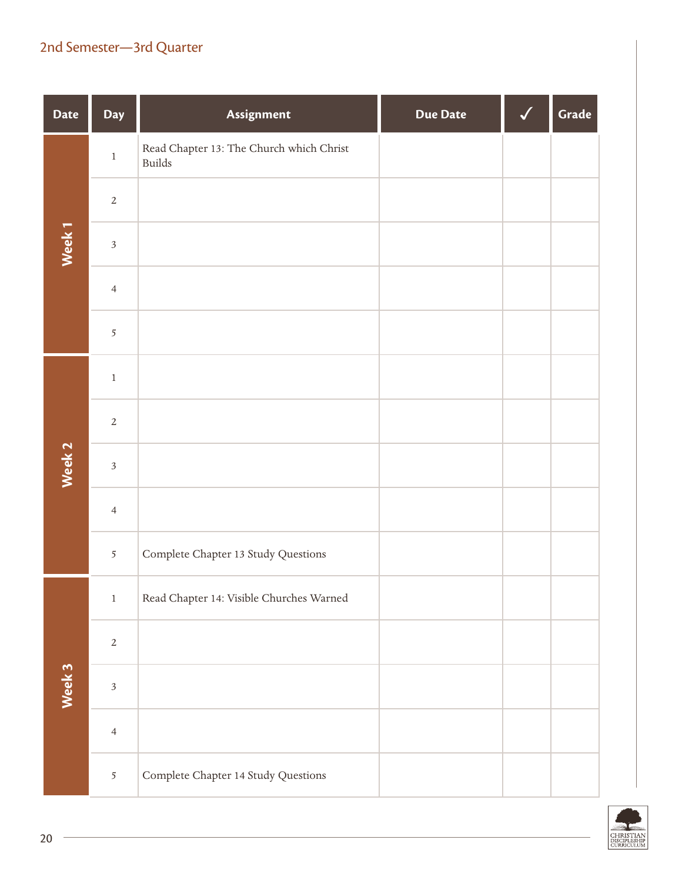| <b>Date</b> | Day            | Assignment                                                | <b>Due Date</b> | Grade |
|-------------|----------------|-----------------------------------------------------------|-----------------|-------|
|             | $\,1$          | Read Chapter 13: The Church which Christ<br><b>Builds</b> |                 |       |
|             | $\sqrt{2}$     |                                                           |                 |       |
| Week 1      | $\mathfrak{Z}$ |                                                           |                 |       |
|             | $\overline{4}$ |                                                           |                 |       |
|             | $\overline{5}$ |                                                           |                 |       |
|             | $\,1$          |                                                           |                 |       |
|             | $\overline{2}$ |                                                           |                 |       |
| Week 2      | $\mathfrak{Z}$ |                                                           |                 |       |
|             | $\overline{4}$ |                                                           |                 |       |
|             | 5              | Complete Chapter 13 Study Questions                       |                 |       |
|             | $\,1$          | Read Chapter 14: Visible Churches Warned                  |                 |       |
|             | $\overline{2}$ |                                                           |                 |       |
| Week 3      | $\overline{3}$ |                                                           |                 |       |
|             | $\overline{4}$ |                                                           |                 |       |
|             | $\overline{5}$ | Complete Chapter 14 Study Questions                       |                 |       |

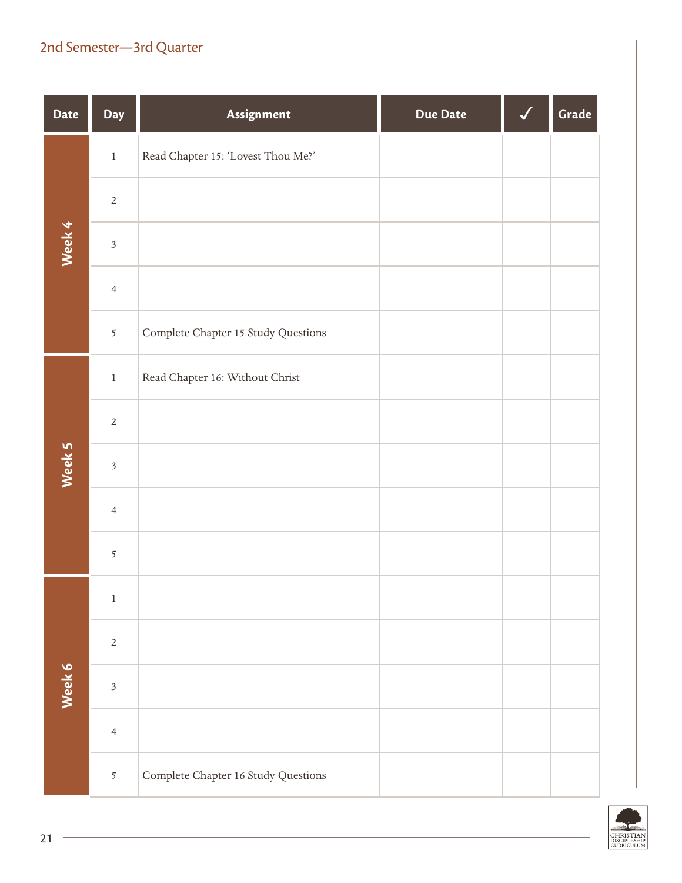| <b>Date</b> | Day            | Assignment                          | <b>Due Date</b> | Grade |
|-------------|----------------|-------------------------------------|-----------------|-------|
|             | $\,1$          | Read Chapter 15: 'Lovest Thou Me?'  |                 |       |
|             | $\sqrt{2}$     |                                     |                 |       |
| Week 4      | $\sqrt{3}$     |                                     |                 |       |
|             | $\overline{4}$ |                                     |                 |       |
|             | $\overline{5}$ | Complete Chapter 15 Study Questions |                 |       |
|             | $\,1\,$        | Read Chapter 16: Without Christ     |                 |       |
|             | $\overline{2}$ |                                     |                 |       |
| Week 5      | $\sqrt{3}$     |                                     |                 |       |
|             | $\overline{4}$ |                                     |                 |       |
|             | $\overline{5}$ |                                     |                 |       |
|             | $\,1$          |                                     |                 |       |
|             | $\overline{2}$ |                                     |                 |       |
| Week 6      | $\mathfrak{Z}$ |                                     |                 |       |
|             | $\overline{4}$ |                                     |                 |       |
|             | $\mathfrak{S}$ | Complete Chapter 16 Study Questions |                 |       |

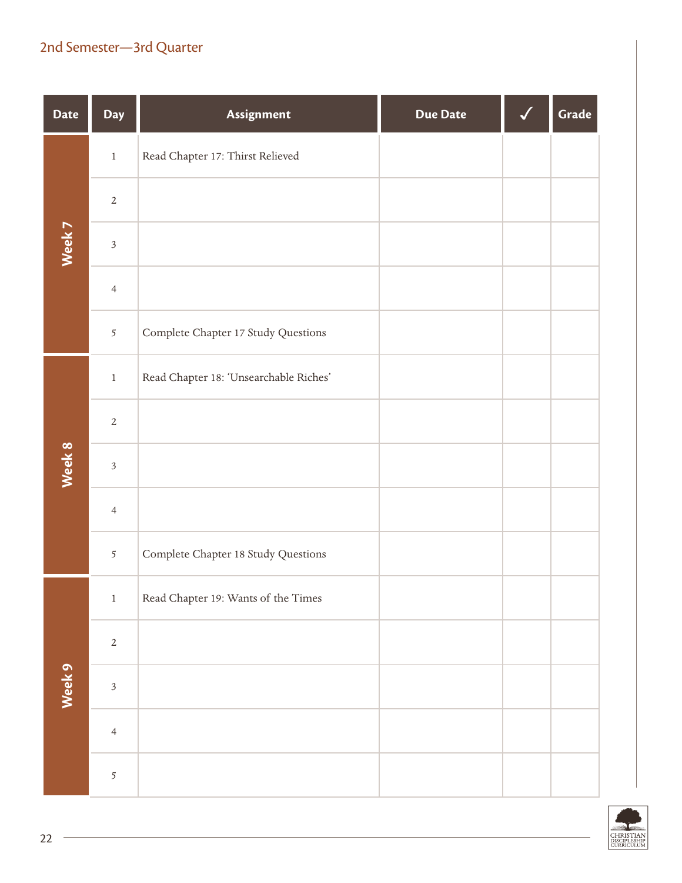| <b>Date</b> | Day            | Assignment                             | <b>Due Date</b> | Grade |
|-------------|----------------|----------------------------------------|-----------------|-------|
|             | $\,1$          | Read Chapter 17: Thirst Relieved       |                 |       |
|             | $\overline{2}$ |                                        |                 |       |
| Week 7      | $\sqrt{3}$     |                                        |                 |       |
|             | $\overline{4}$ |                                        |                 |       |
|             | $\mathfrak{S}$ | Complete Chapter 17 Study Questions    |                 |       |
|             | $\,1$          | Read Chapter 18: 'Unsearchable Riches' |                 |       |
|             | $\overline{2}$ |                                        |                 |       |
| Week 8      | $\mathfrak{Z}$ |                                        |                 |       |
|             | $\overline{4}$ |                                        |                 |       |
|             | 5              | Complete Chapter 18 Study Questions    |                 |       |
|             | $\mathbf{1}$   | Read Chapter 19: Wants of the Times    |                 |       |
|             | $\sqrt{2}$     |                                        |                 |       |
| Week 9      | $\overline{3}$ |                                        |                 |       |
|             | $\overline{4}$ |                                        |                 |       |
|             | 5              |                                        |                 |       |

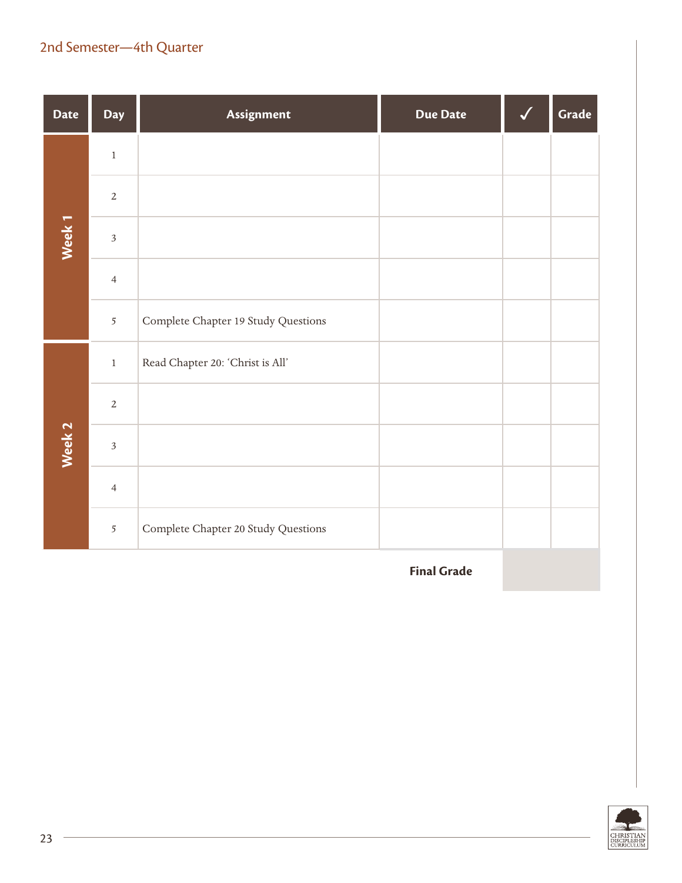| <b>Date</b>       | <b>Day</b>     | Assignment                          | <b>Due Date</b> | Grade |
|-------------------|----------------|-------------------------------------|-----------------|-------|
|                   | $\,1$          |                                     |                 |       |
|                   | $\overline{2}$ |                                     |                 |       |
| Week <sub>1</sub> | $\mathfrak{Z}$ |                                     |                 |       |
|                   | $\overline{4}$ |                                     |                 |       |
|                   | $\overline{5}$ | Complete Chapter 19 Study Questions |                 |       |
|                   | $\,1$          | Read Chapter 20: 'Christ is All'    |                 |       |
|                   | $\sqrt{2}$     |                                     |                 |       |
| Week <sub>2</sub> | $\overline{3}$ |                                     |                 |       |
|                   | $\overline{4}$ |                                     |                 |       |
|                   | 5              | Complete Chapter 20 Study Questions |                 |       |

**Final Grade**

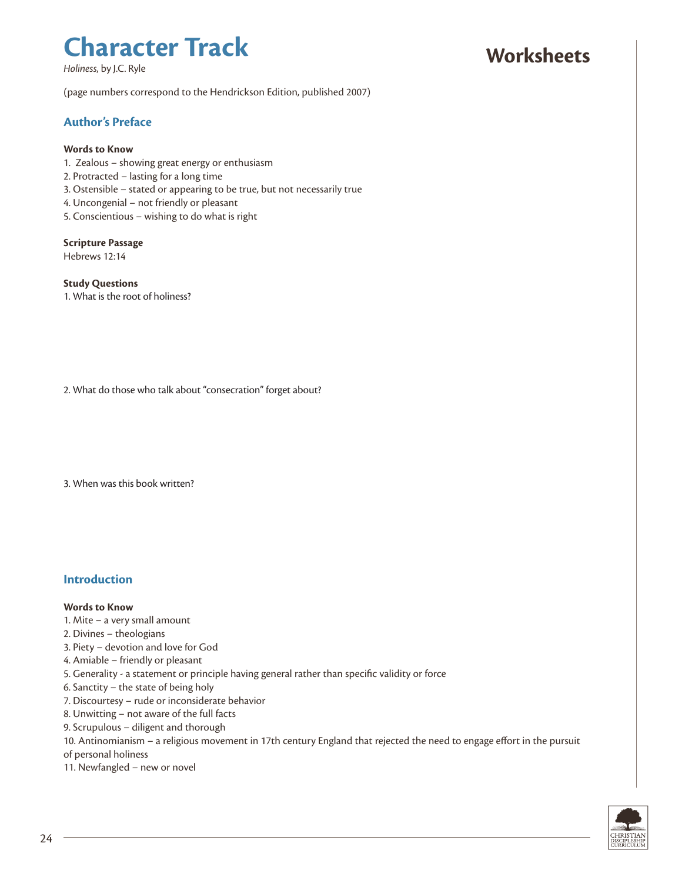*Holiness*, by J.C. Ryle

### **Worksheets**

(page numbers correspond to the Hendrickson Edition, published 2007)

#### **Author's Preface**

#### **Words to Know**

- 1. Zealous showing great energy or enthusiasm
- 2. Protracted lasting for a long time
- 3. Ostensible stated or appearing to be true, but not necessarily true
- 4. Uncongenial not friendly or pleasant
- 5. Conscientious wishing to do what is right

#### **Scripture Passage**

Hebrews 12:14

**Study Questions** 1. What is the root of holiness?

2. What do those who talk about "consecration" forget about?

3. When was this book written?

#### **Introduction**

#### **Words to Know**

- 1. Mite a very small amount
- 2. Divines theologians
- 3. Piety devotion and love for God
- 4. Amiable friendly or pleasant
- 5. Generality a statement or principle having general rather than specific validity or force
- 6. Sanctity the state of being holy
- 7. Discourtesy rude or inconsiderate behavior
- 8. Unwitting not aware of the full facts
- 9. Scrupulous diligent and thorough
- 10. Antinomianism a religious movement in 17th century England that rejected the need to engage effort in the pursuit

of personal holiness

11. Newfangled – new or novel

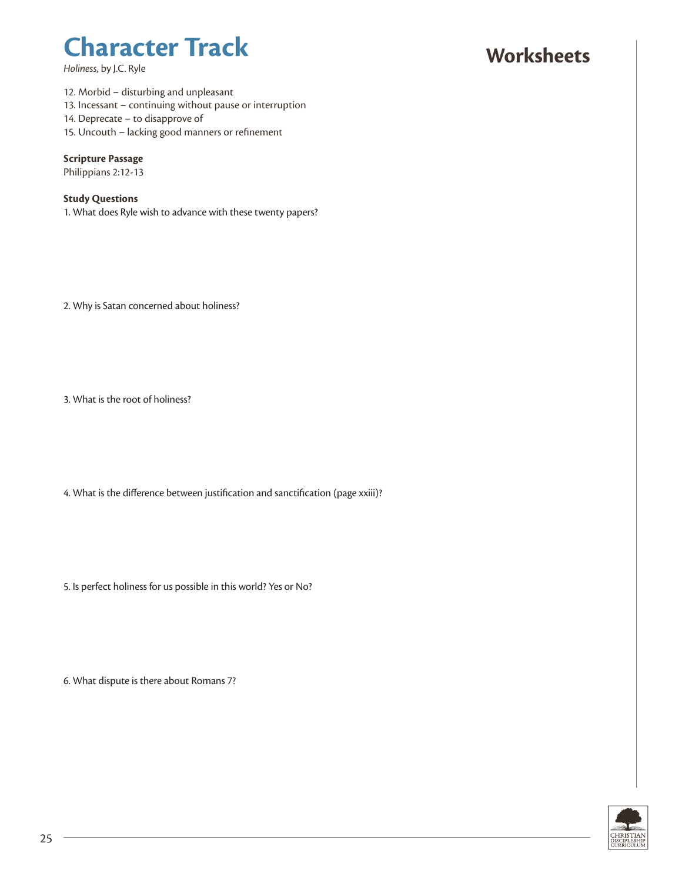*Holiness*, by J.C. Ryle

## **Worksheets**

12. Morbid – disturbing and unpleasant 13. Incessant – continuing without pause or interruption 14. Deprecate – to disapprove of 15. Uncouth – lacking good manners or refinement

#### **Scripture Passage**

Philippians 2:12-13

#### **Study Questions**

1. What does Ryle wish to advance with these twenty papers?

2. Why is Satan concerned about holiness?

3. What is the root of holiness?

4. What is the difference between justification and sanctification (page xxiii)?

5. Is perfect holiness for us possible in this world? Yes or No?

6. What dispute is there about Romans 7?

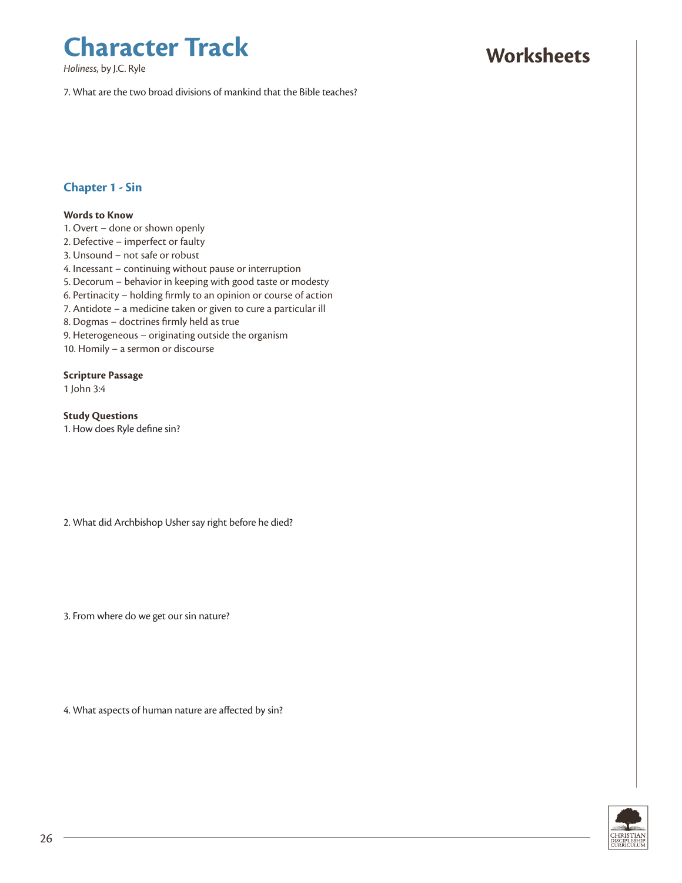*Holiness*, by J.C. Ryle

**Worksheets**

7. What are the two broad divisions of mankind that the Bible teaches?

#### **Chapter 1 - Sin**

#### **Words to Know**

- 1. Overt done or shown openly
- 2. Defective imperfect or faulty
- 3. Unsound not safe or robust
- 4. Incessant continuing without pause or interruption
- 5. Decorum behavior in keeping with good taste or modesty
- 6. Pertinacity holding firmly to an opinion or course of action
- 7. Antidote a medicine taken or given to cure a particular ill
- 8. Dogmas doctrines firmly held as true
- 9. Heterogeneous originating outside the organism
- 10. Homily a sermon or discourse

#### **Scripture Passage**

1 John 3:4

**Study Questions**

1. How does Ryle define sin?

2. What did Archbishop Usher say right before he died?

3. From where do we get our sin nature?

4. What aspects of human nature are affected by sin?

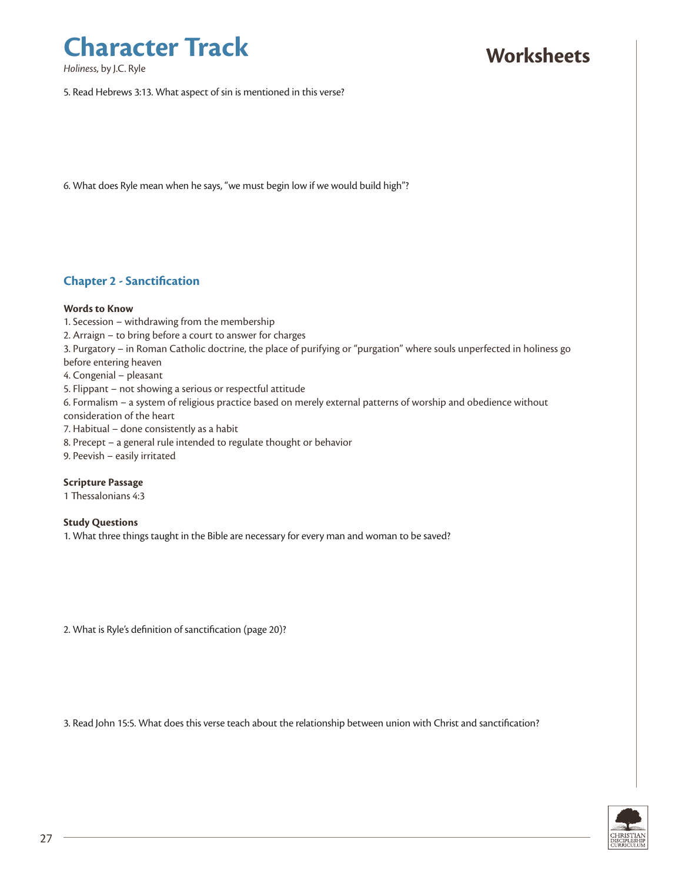*Holiness*, by J.C. Ryle

### **Worksheets**

5. Read Hebrews 3:13. What aspect of sin is mentioned in this verse?

6. What does Ryle mean when he says, "we must begin low if we would build high"?

#### **Chapter 2 - Sanctification**

#### **Words to Know**

- 1. Secession withdrawing from the membership
- 2. Arraign to bring before a court to answer for charges
- 3. Purgatory in Roman Catholic doctrine, the place of purifying or "purgation" where souls unperfected in holiness go before entering heaven
- 4. Congenial pleasant
- 5. Flippant not showing a serious or respectful attitude
- 6. Formalism a system of religious practice based on merely external patterns of worship and obedience without
- consideration of the heart
- 7. Habitual done consistently as a habit
- 8. Precept a general rule intended to regulate thought or behavior
- 9. Peevish easily irritated

#### **Scripture Passage**

1 Thessalonians 4:3

#### **Study Questions**

1. What three things taught in the Bible are necessary for every man and woman to be saved?

2. What is Ryle's definition of sanctification (page 20)?

3. Read John 15:5. What does this verse teach about the relationship between union with Christ and sanctification?

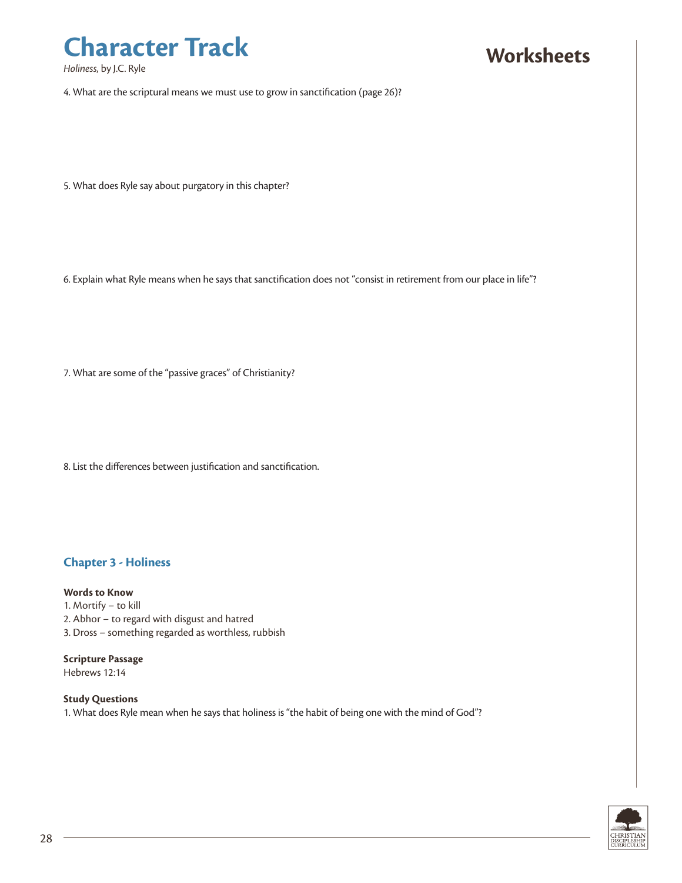*Holiness*, by J.C. Ryle

### **Worksheets**

4. What are the scriptural means we must use to grow in sanctification (page 26)?

5. What does Ryle say about purgatory in this chapter?

6. Explain what Ryle means when he says that sanctification does not "consist in retirement from our place in life"?

7. What are some of the "passive graces" of Christianity?

8. List the differences between justification and sanctification.

#### **Chapter 3 - Holiness**

#### **Words to Know**

- 1. Mortify to kill
- 2. Abhor to regard with disgust and hatred
- 3. Dross something regarded as worthless, rubbish

#### **Scripture Passage**

Hebrews 12:14

#### **Study Questions**

1. What does Ryle mean when he says that holiness is "the habit of being one with the mind of God"?

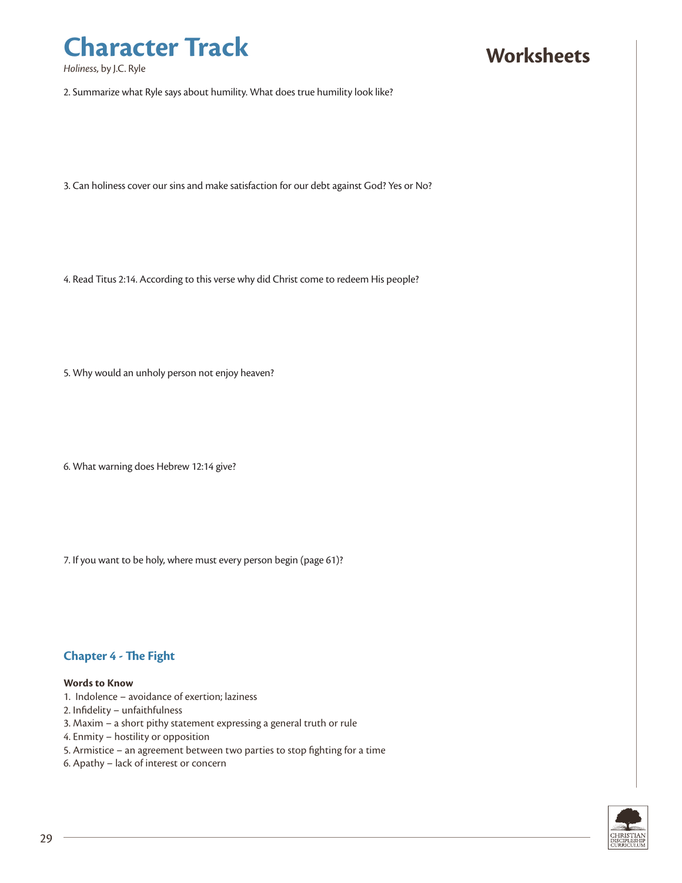*Holiness*, by J.C. Ryle

### **Worksheets**

2. Summarize what Ryle says about humility. What does true humility look like?

3. Can holiness cover our sins and make satisfaction for our debt against God? Yes or No?

4. Read Titus 2:14. According to this verse why did Christ come to redeem His people?

5. Why would an unholy person not enjoy heaven?

6. What warning does Hebrew 12:14 give?

7. If you want to be holy, where must every person begin (page 61)?

#### **Chapter 4 - The Fight**

#### **Words to Know**

- 1. Indolence avoidance of exertion; laziness
- 2. Infidelity unfaithfulness
- 3. Maxim a short pithy statement expressing a general truth or rule
- 4. Enmity hostility or opposition
- 5. Armistice an agreement between two parties to stop fighting for a time
- 6. Apathy lack of interest or concern

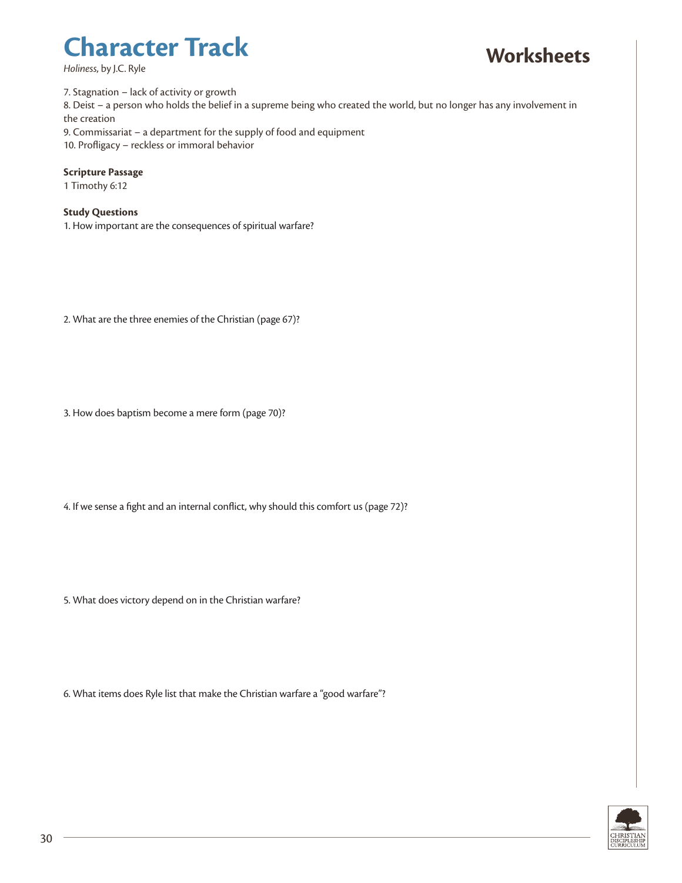*Holiness*, by J.C. Ryle

## **Worksheets**

7. Stagnation – lack of activity or growth

8. Deist – a person who holds the belief in a supreme being who created the world, but no longer has any involvement in the creation

9. Commissariat – a department for the supply of food and equipment

10. Profligacy – reckless or immoral behavior

#### **Scripture Passage**

1 Timothy 6:12

#### **Study Questions**

1. How important are the consequences of spiritual warfare?

2. What are the three enemies of the Christian (page 67)?

3. How does baptism become a mere form (page 70)?

4. If we sense a fight and an internal conflict, why should this comfort us (page 72)?

5. What does victory depend on in the Christian warfare?

6. What items does Ryle list that make the Christian warfare a "good warfare"?

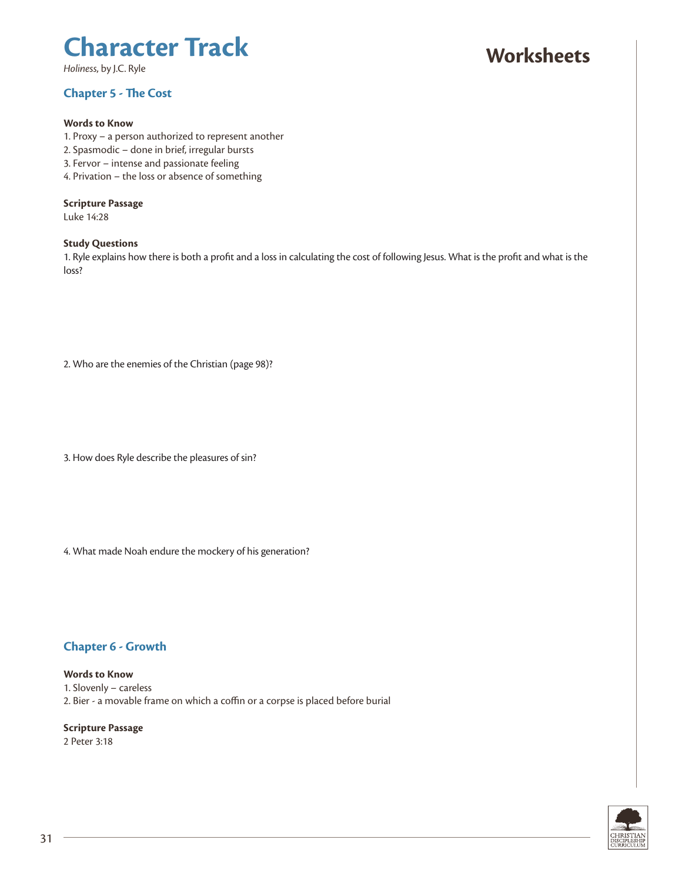*Holiness*, by J.C. Ryle

#### **Chapter 5 - The Cost**

#### **Words to Know**

- 1. Proxy a person authorized to represent another
- 2. Spasmodic done in brief, irregular bursts
- 3. Fervor intense and passionate feeling
- 4. Privation the loss or absence of something

#### **Scripture Passage**

Luke 14:28

#### **Study Questions**

1. Ryle explains how there is both a profit and a loss in calculating the cost of following Jesus. What is the profit and what is the loss?

2. Who are the enemies of the Christian (page 98)?

3. How does Ryle describe the pleasures of sin?

4. What made Noah endure the mockery of his generation?

#### **Chapter 6 - Growth**

**Words to Know** 1. Slovenly – careless 2. Bier - a movable frame on which a coffin or a corpse is placed before burial

**Scripture Passage** 2 Peter 3:18



### **Worksheets**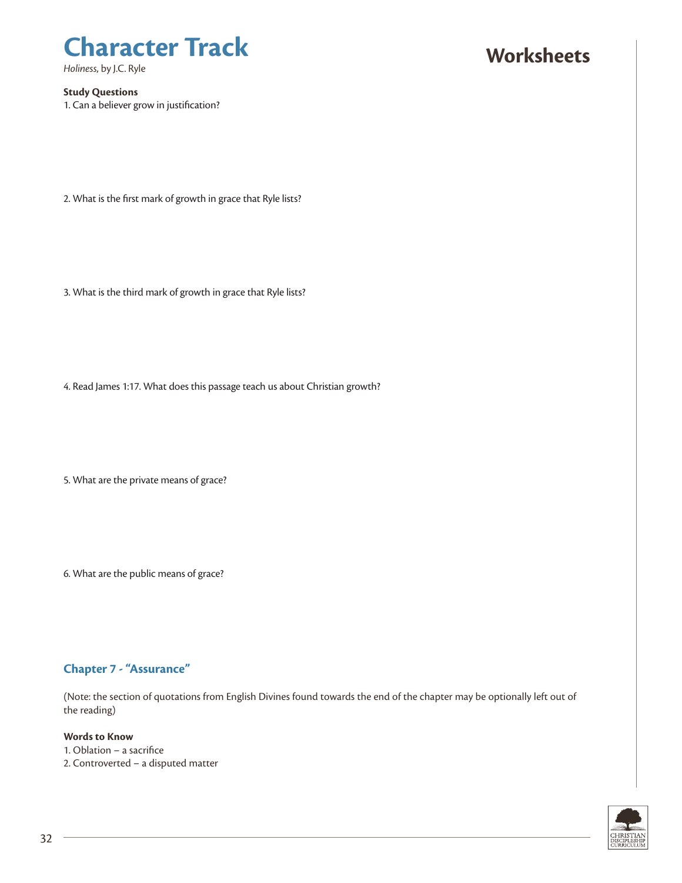*Holiness*, by J.C. Ryle

#### **Study Questions**

1. Can a believer grow in justification?

### **Worksheets**

2. What is the first mark of growth in grace that Ryle lists?

3. What is the third mark of growth in grace that Ryle lists?

4. Read James 1:17. What does this passage teach us about Christian growth?

5. What are the private means of grace?

6. What are the public means of grace?

#### **Chapter 7 - "Assurance"**

(Note: the section of quotations from English Divines found towards the end of the chapter may be optionally left out of the reading)

#### **Words to Know**

- 1. Oblation a sacrifice
- 2. Controverted a disputed matter

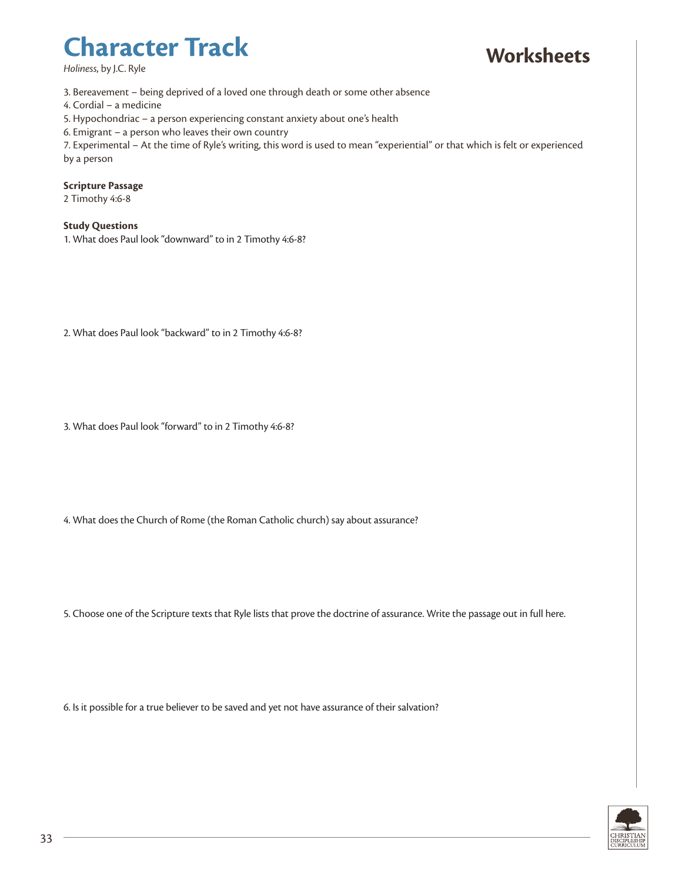*Holiness*, by J.C. Ryle

## **Worksheets**

3. Bereavement – being deprived of a loved one through death or some other absence

4. Cordial – a medicine

- 5. Hypochondriac a person experiencing constant anxiety about one's health
- 6. Emigrant a person who leaves their own country

7. Experimental – At the time of Ryle's writing, this word is used to mean "experiential" or that which is felt or experienced by a person

#### **Scripture Passage**

2 Timothy 4:6-8

#### **Study Questions**

1. What does Paul look "downward" to in 2 Timothy 4:6-8?

2. What does Paul look "backward" to in 2 Timothy 4:6-8?

3. What does Paul look "forward" to in 2 Timothy 4:6-8?

4. What does the Church of Rome (the Roman Catholic church) say about assurance?

5. Choose one of the Scripture texts that Ryle lists that prove the doctrine of assurance. Write the passage out in full here.

6. Is it possible for a true believer to be saved and yet not have assurance of their salvation?

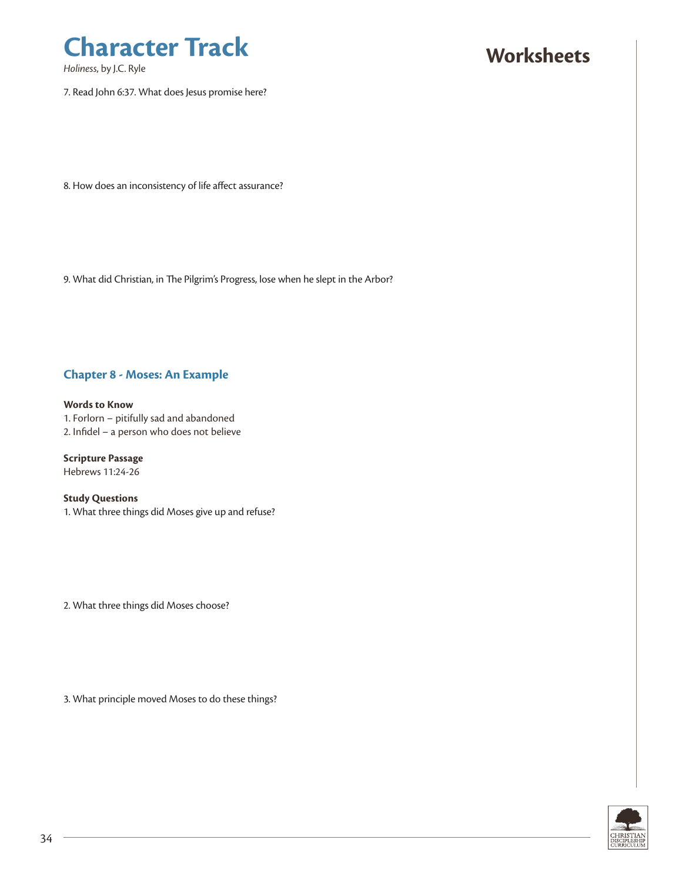

*Holiness*, by J.C. Ryle

7. Read John 6:37. What does Jesus promise here?

### **Worksheets**

8. How does an inconsistency of life affect assurance?

9. What did Christian, in The Pilgrim's Progress, lose when he slept in the Arbor?

#### **Chapter 8 - Moses: An Example**

**Words to Know** 1. Forlorn – pitifully sad and abandoned 2. Infidel – a person who does not believe

**Scripture Passage** Hebrews 11:24-26

**Study Questions** 1. What three things did Moses give up and refuse?

2. What three things did Moses choose?

3. What principle moved Moses to do these things?

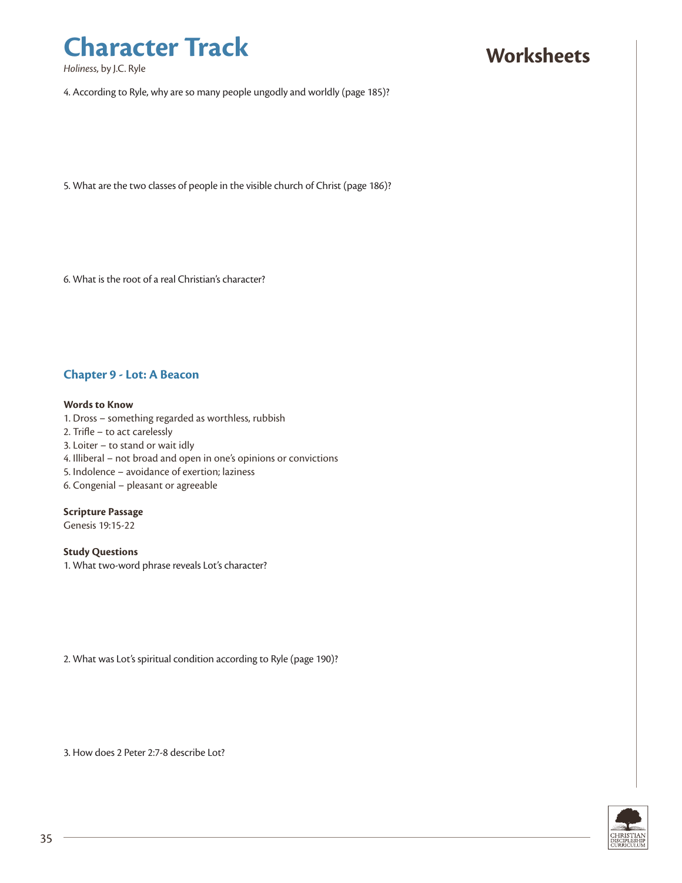*Holiness*, by J.C. Ryle

### **Worksheets**

4. According to Ryle, why are so many people ungodly and worldly (page 185)?

5. What are the two classes of people in the visible church of Christ (page 186)?

6. What is the root of a real Christian's character?

#### **Chapter 9 - Lot: A Beacon**

#### **Words to Know**

- 1. Dross something regarded as worthless, rubbish
- 2. Trifle to act carelessly
- 3. Loiter to stand or wait idly
- 4. Illiberal not broad and open in one's opinions or convictions
- 5. Indolence avoidance of exertion; laziness
- 6. Congenial pleasant or agreeable

#### **Scripture Passage**

Genesis 19:15-22

#### **Study Questions**

1. What two-word phrase reveals Lot's character?

2. What was Lot's spiritual condition according to Ryle (page 190)?

3. How does 2 Peter 2:7-8 describe Lot?

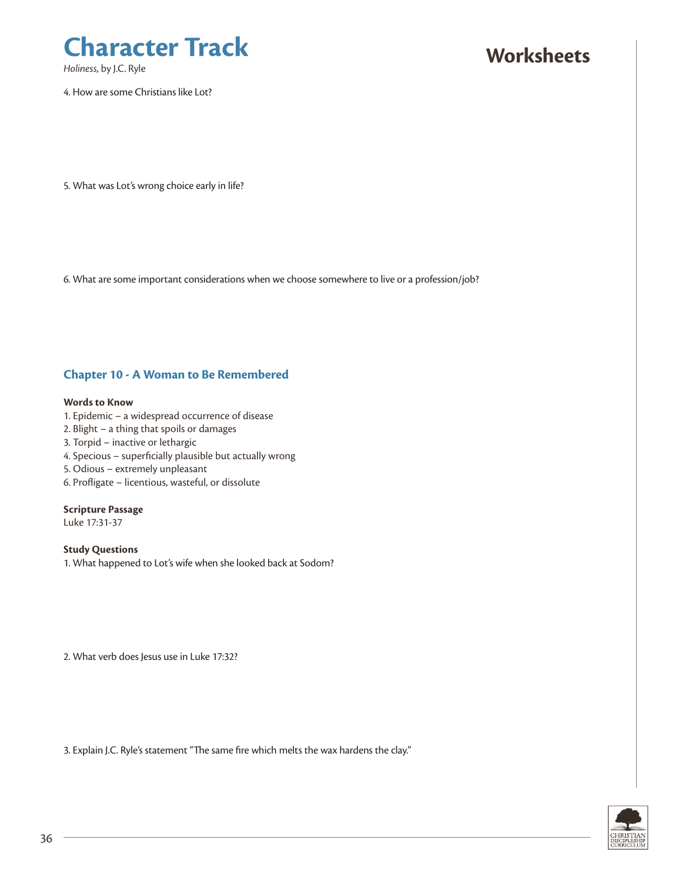

*Holiness*, by J.C. Ryle

4. How are some Christians like Lot?

### **Worksheets**

5. What was Lot's wrong choice early in life?

6. What are some important considerations when we choose somewhere to live or a profession/job?

#### **Chapter 10 - A Woman to Be Remembered**

#### **Words to Know**

- 1. Epidemic a widespread occurrence of disease
- 2. Blight a thing that spoils or damages
- 3. Torpid inactive or lethargic
- 4. Specious superficially plausible but actually wrong
- 5. Odious extremely unpleasant
- 6. Profligate licentious, wasteful, or dissolute

#### **Scripture Passage**

Luke 17:31-37

**Study Questions** 1. What happened to Lot's wife when she looked back at Sodom?

2. What verb does Jesus use in Luke 17:32?

3. Explain J.C. Ryle's statement "The same fire which melts the wax hardens the clay."

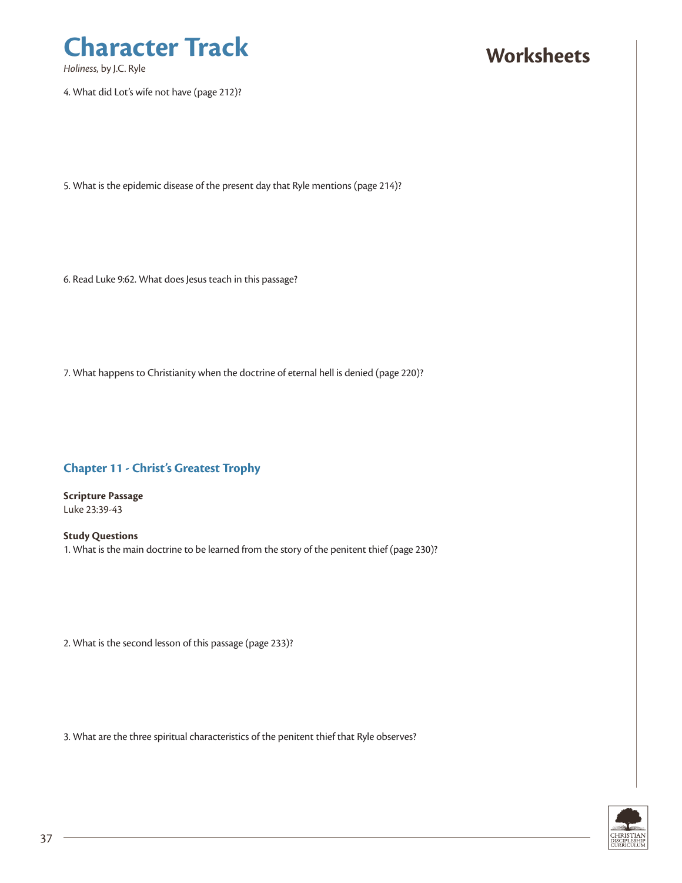

*Holiness*, by J.C. Ryle

4. What did Lot's wife not have (page 212)?

### **Worksheets**

5. What is the epidemic disease of the present day that Ryle mentions (page 214)?

6. Read Luke 9:62. What does Jesus teach in this passage?

7. What happens to Christianity when the doctrine of eternal hell is denied (page 220)?

#### **Chapter 11 - Christ's Greatest Trophy**

**Scripture Passage** Luke 23:39-43

**Study Questions** 1. What is the main doctrine to be learned from the story of the penitent thief (page 230)?

2. What is the second lesson of this passage (page 233)?

3. What are the three spiritual characteristics of the penitent thief that Ryle observes?

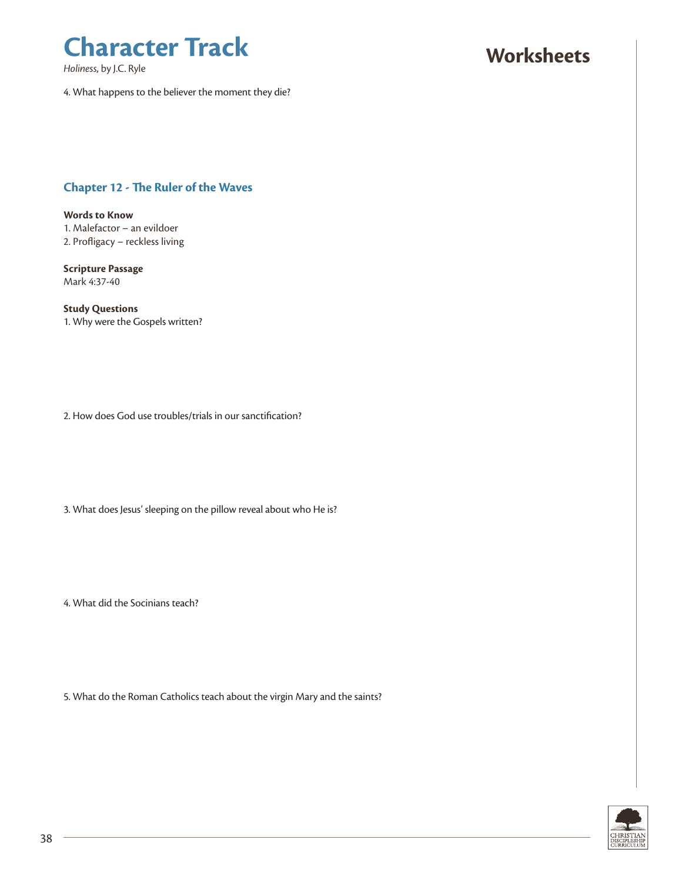*Holiness*, by J.C. Ryle

## **Worksheets**

4. What happens to the believer the moment they die?

#### **Chapter 12 - The Ruler of the Waves**

**Words to Know** 1. Malefactor – an evildoer 2. Profligacy – reckless living

**Scripture Passage** Mark 4:37-40

**Study Questions** 1. Why were the Gospels written?

2. How does God use troubles/trials in our sanctification?

3. What does Jesus' sleeping on the pillow reveal about who He is?

4. What did the Socinians teach?

5. What do the Roman Catholics teach about the virgin Mary and the saints?

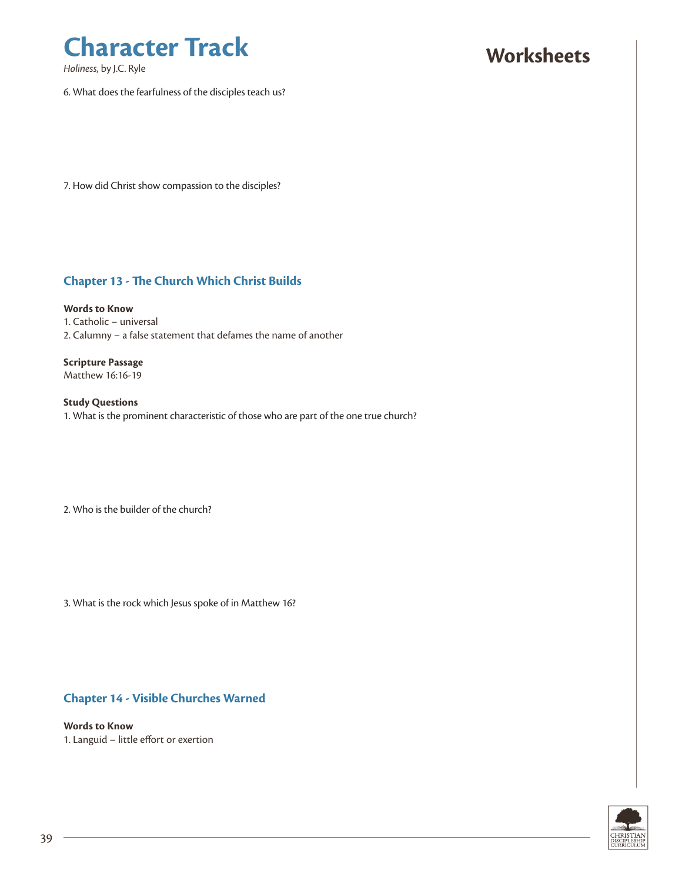*Holiness*, by J.C. Ryle

### **Worksheets**

6. What does the fearfulness of the disciples teach us?

7. How did Christ show compassion to the disciples?

#### **Chapter 13 - The Church Which Christ Builds**

**Words to Know** 1. Catholic – universal 2. Calumny – a false statement that defames the name of another

**Scripture Passage** Matthew 16:16-19

**Study Questions** 1. What is the prominent characteristic of those who are part of the one true church?

2. Who is the builder of the church?

3. What is the rock which Jesus spoke of in Matthew 16?

#### **Chapter 14 - Visible Churches Warned**

**Words to Know** 1. Languid – little effort or exertion

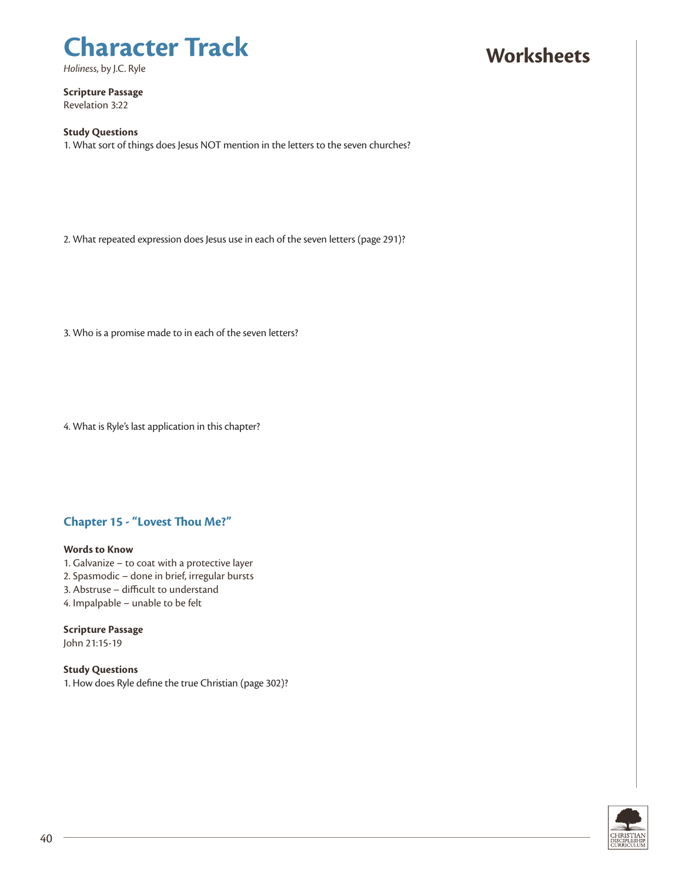*Holiness*, by J.C. Ryle

## **Worksheets**

**Scripture Passage** Revelation 3:22

#### **Study Questions**

1. What sort of things does Jesus NOT mention in the letters to the seven churches?

2. What repeated expression does Jesus use in each of the seven letters (page 291)?

3. Who is a promise made to in each of the seven letters?

4. What is Ryle's last application in this chapter?

#### **Chapter 15 - "Lovest Thou Me?"**

#### **Words to Know**

- 1. Galvanize to coat with a protective layer
- 2. Spasmodic done in brief, irregular bursts
- 3. Abstruse difficult to understand
- 4. Impalpable unable to be felt

#### **Scripture Passage**

John 21:15-19

**Study Questions** 1. How does Ryle define the true Christian (page 302)?

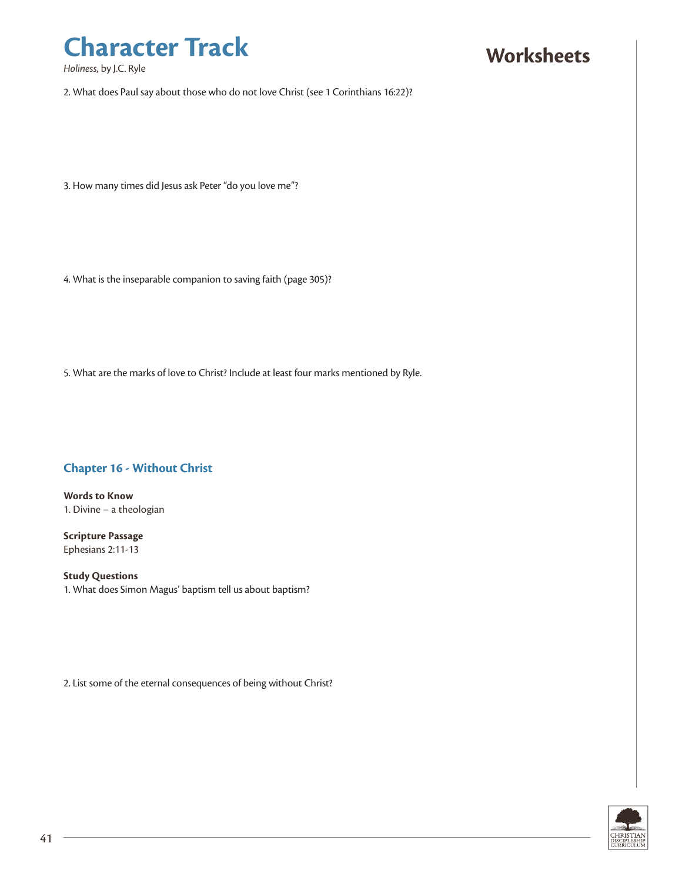*Holiness*, by J.C. Ryle

### **Worksheets**

2. What does Paul say about those who do not love Christ (see 1 Corinthians 16:22)?

3. How many times did Jesus ask Peter "do you love me"?

4. What is the inseparable companion to saving faith (page 305)?

5. What are the marks of love to Christ? Include at least four marks mentioned by Ryle.

#### **Chapter 16 - Without Christ**

**Words to Know** 1. Divine – a theologian

**Scripture Passage** Ephesians 2:11-13

**Study Questions** 1. What does Simon Magus' baptism tell us about baptism?

2. List some of the eternal consequences of being without Christ?

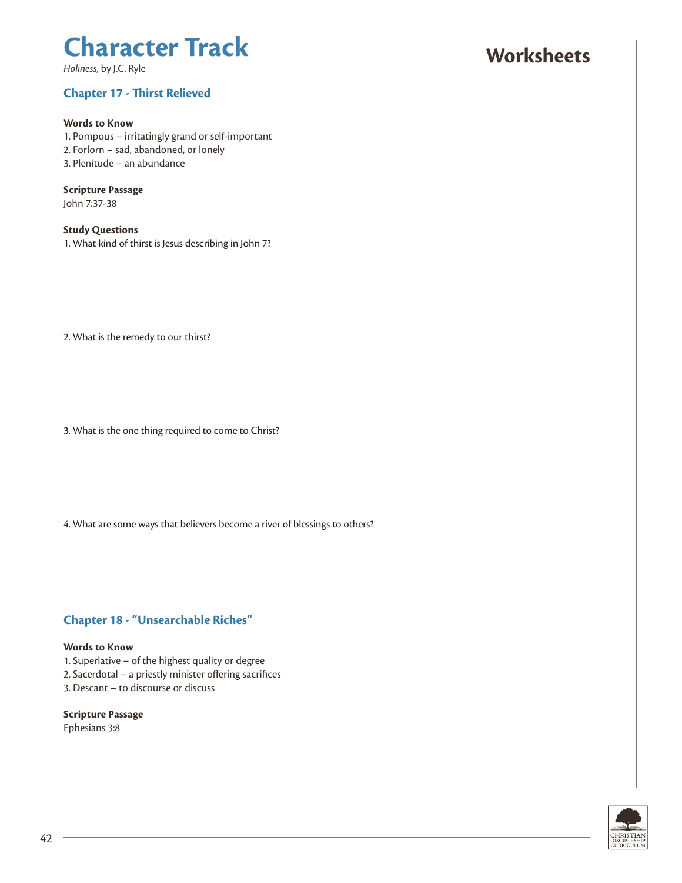*Holiness*, by J.C. Ryle

#### **Chapter 17 - Thirst Relieved**

#### **Words to Know**

1. Pompous – irritatingly grand or self-important 2. Forlorn – sad, abandoned, or lonely 3. Plenitude – an abundance

#### **Scripture Passage**

John 7:37-38

#### **Study Questions**

1. What kind of thirst is Jesus describing in John 7?

2. What is the remedy to our thirst?

3. What is the one thing required to come to Christ?

4. What are some ways that believers become a river of blessings to others?

#### **Chapter 18 - "Unsearchable Riches"**

#### **Words to Know**

- 1. Superlative of the highest quality or degree
- 2. Sacerdotal a priestly minister offering sacrifices
- 3. Descant to discourse or discuss

### **Scripture Passage**

Ephesians 3:8

### **Worksheets**

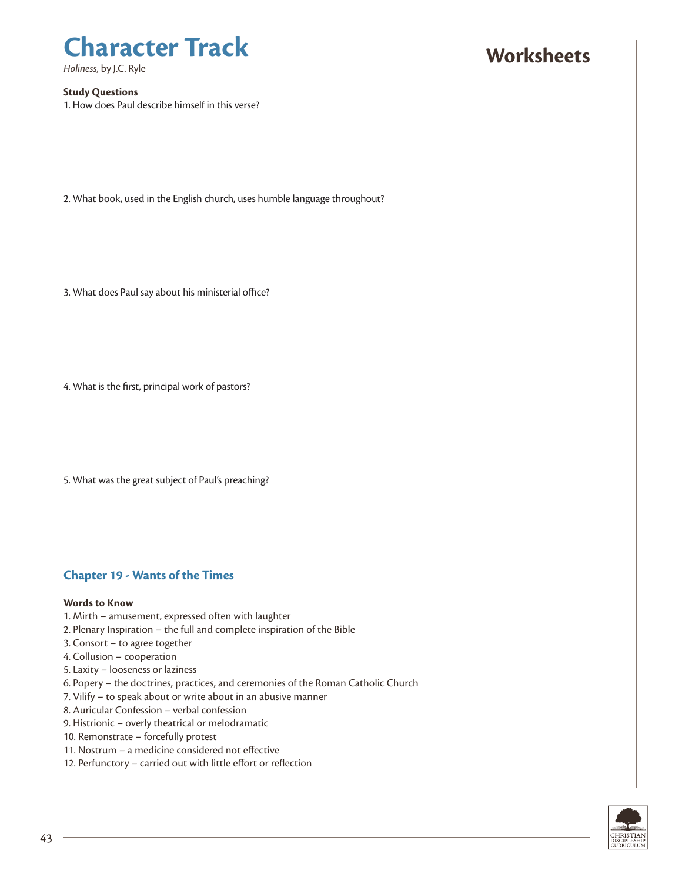*Holiness*, by J.C. Ryle

#### **Study Questions**

1. How does Paul describe himself in this verse?

### 2. What book, used in the English church, uses humble language throughout?

3. What does Paul say about his ministerial office?

4. What is the first, principal work of pastors?

5. What was the great subject of Paul's preaching?

#### **Chapter 19 - Wants of the Times**

#### **Words to Know**

- 1. Mirth amusement, expressed often with laughter
- 2. Plenary Inspiration the full and complete inspiration of the Bible
- 3. Consort to agree together
- 4. Collusion cooperation
- 5. Laxity looseness or laziness
- 6. Popery the doctrines, practices, and ceremonies of the Roman Catholic Church
- 7. Vilify to speak about or write about in an abusive manner
- 8. Auricular Confession verbal confession
- 9. Histrionic overly theatrical or melodramatic
- 10. Remonstrate forcefully protest
- 11. Nostrum a medicine considered not effective
- 12. Perfunctory carried out with little effort or reflection



**Worksheets**

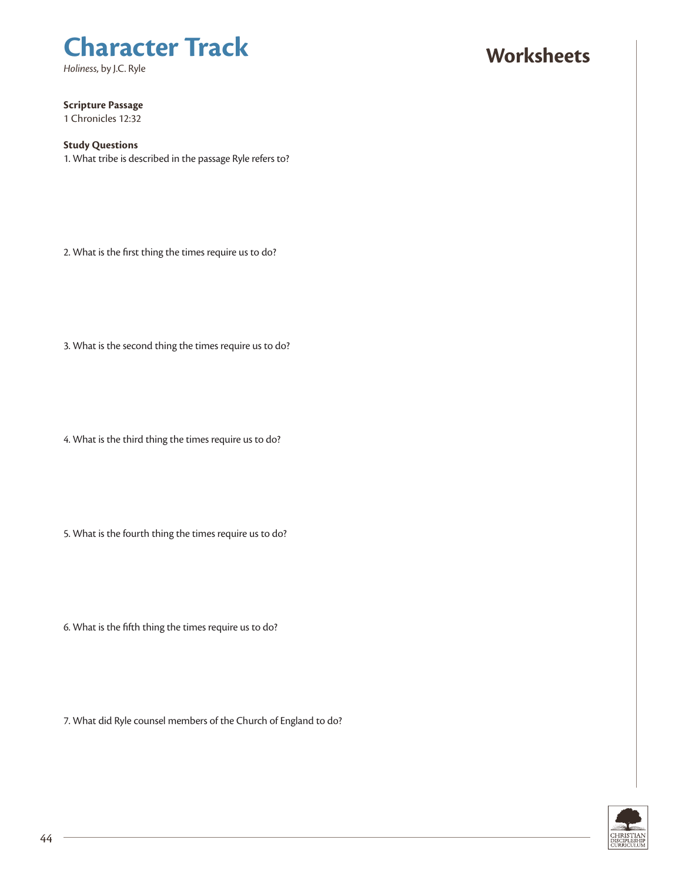*Holiness*, by J.C. Ryle

### **Worksheets**

**Scripture Passage**

1 Chronicles 12:32

#### **Study Questions**

1. What tribe is described in the passage Ryle refers to?

2. What is the first thing the times require us to do?

3. What is the second thing the times require us to do?

4. What is the third thing the times require us to do?

5. What is the fourth thing the times require us to do?

6. What is the fifth thing the times require us to do?

7. What did Ryle counsel members of the Church of England to do?

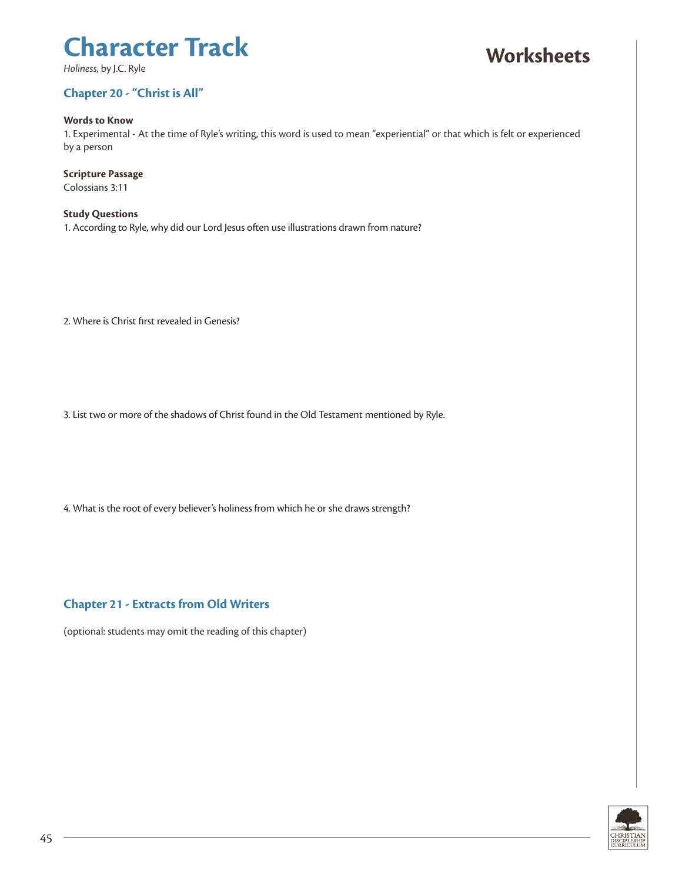*Holiness*, by J.C. Ryle

## **Worksheets**

### **Chapter 20 - "Christ is All"**

#### **Words to Know**

1. Experimental - At the time of Ryle's writing, this word is used to mean "experiential" or that which is felt or experienced by a person

#### **Scripture Passage**

Colossians 3:11

**Study Questions** 1. According to Ryle, why did our Lord Jesus often use illustrations drawn from nature?

2. Where is Christ first revealed in Genesis?

3. List two or more of the shadows of Christ found in the Old Testament mentioned by Ryle.

4. What is the root of every believer's holiness from which he or she draws strength?

#### **Chapter 21 - Extracts from Old Writers**

(optional: students may omit the reading of this chapter)

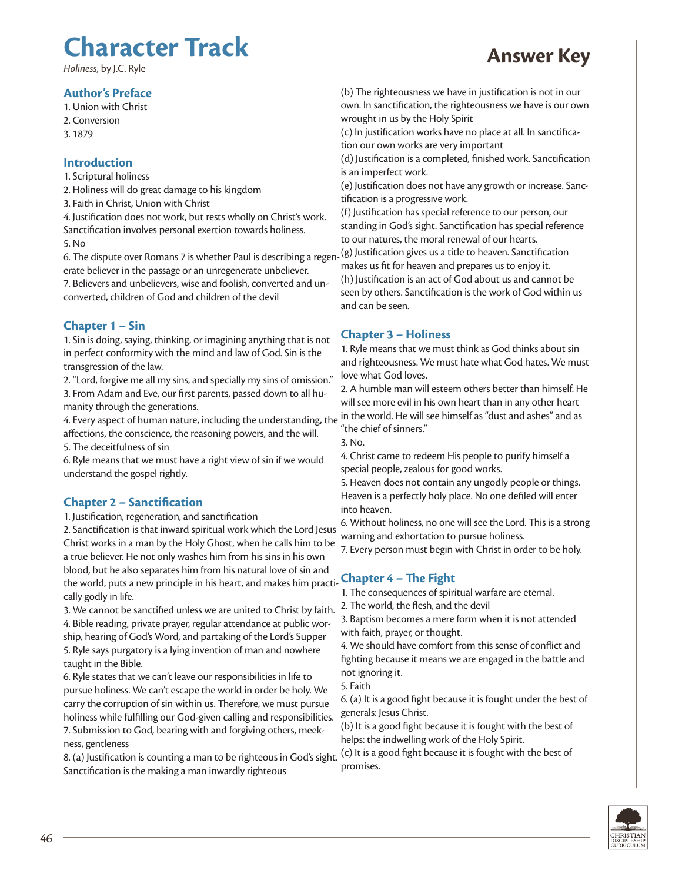### **Character Track** *Holiness*, by J.C. Ryle **Answer Key**

#### **Author's Preface**

1. Union with Christ

- 2. Conversion
- 3. 1879

#### **Introduction**

1. Scriptural holiness

2. Holiness will do great damage to his kingdom

3. Faith in Christ, Union with Christ

4. Justification does not work, but rests wholly on Christ's work. Sanctification involves personal exertion towards holiness. 5. No

6. The dispute over Romans 7 is whether Paul is describing a regen-(g) Justification gives us a title to heaven. Sanctification erate believer in the passage or an unregenerate unbeliever.

7. Believers and unbelievers, wise and foolish, converted and unconverted, children of God and children of the devil

#### **Chapter 1 – Sin**

1. Sin is doing, saying, thinking, or imagining anything that is not in perfect conformity with the mind and law of God. Sin is the transgression of the law.

2. "Lord, forgive me all my sins, and specially my sins of omission." 3. From Adam and Eve, our first parents, passed down to all humanity through the generations.

4. Every aspect of human nature, including the understanding, the affections, the conscience, the reasoning powers, and the will.

5. The deceitfulness of sin

6. Ryle means that we must have a right view of sin if we would understand the gospel rightly.

#### **Chapter 2 – Sanctification**

1. Justification, regeneration, and sanctification

2. Sanctification is that inward spiritual work which the Lord Jesus 2. Sanctification is that inward spiritual work which the Eord Jesus warning and exhortation to pursue holiness.<br>Christ works in a man by the Holy Ghost, when he calls him to be 2. From newen must begin with Christ in earl a true believer. He not only washes him from his sins in his own blood, but he also separates him from his natural love of sin and the world, puts a new principle in his heart, and makes him practi-**Chapter 4 – The Fight** cally godly in life.

3. We cannot be sanctified unless we are united to Christ by faith. 4. Bible reading, private prayer, regular attendance at public worship, hearing of God's Word, and partaking of the Lord's Supper 5. Ryle says purgatory is a lying invention of man and nowhere taught in the Bible.

6. Ryle states that we can't leave our responsibilities in life to pursue holiness. We can't escape the world in order be holy. We carry the corruption of sin within us. Therefore, we must pursue holiness while fulfilling our God-given calling and responsibilities. 7. Submission to God, bearing with and forgiving others, meekness, gentleness

8. (a) Justification is counting a man to be righteous in God's sight. Sanctification is the making a man inwardly righteous

(b) The righteousness we have in justification is not in our own. In sanctification, the righteousness we have is our own wrought in us by the Holy Spirit

(c) In justification works have no place at all. In sanctification our own works are very important

(d) Justification is a completed, finished work. Sanctification is an imperfect work.

(e) Justification does not have any growth or increase. Sanctification is a progressive work.

(f) Justification has special reference to our person, our standing in God's sight. Sanctification has special reference to our natures, the moral renewal of our hearts.

makes us fit for heaven and prepares us to enjoy it.

(h) Justification is an act of God about us and cannot be seen by others. Sanctification is the work of God within us and can be seen.

#### **Chapter 3 – Holiness**

1. Ryle means that we must think as God thinks about sin and righteousness. We must hate what God hates. We must love what God loves.

2. A humble man will esteem others better than himself. He will see more evil in his own heart than in any other heart in the world. He will see himself as "dust and ashes" and as "the chief of sinners."

3. No.

4. Christ came to redeem His people to purify himself a special people, zealous for good works.

5. Heaven does not contain any ungodly people or things. Heaven is a perfectly holy place. No one defiled will enter into heaven.

6. Without holiness, no one will see the Lord. This is a strong

7. Every person must begin with Christ in order to be holy.

1. The consequences of spiritual warfare are eternal.

2. The world, the flesh, and the devil

3. Baptism becomes a mere form when it is not attended with faith, prayer, or thought.

4. We should have comfort from this sense of conflict and fighting because it means we are engaged in the battle and not ignoring it.

5. Faith

6. (a) It is a good fight because it is fought under the best of generals: Jesus Christ.

(b) It is a good fight because it is fought with the best of helps: the indwelling work of the Holy Spirit.

(c) It is a good fight because it is fought with the best of promises.

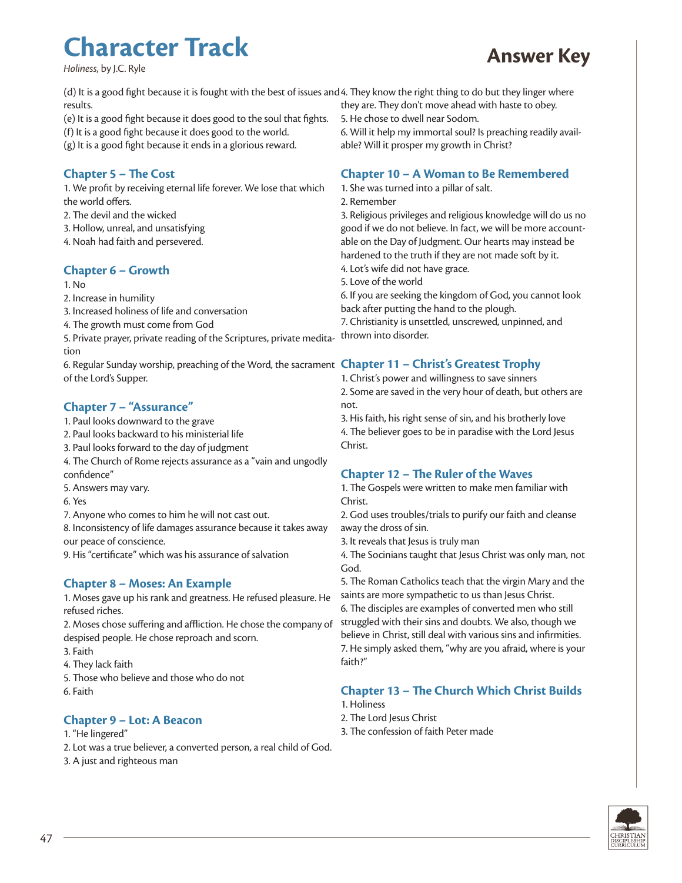### **Character Track** *Holiness*, by J.C. Ryle **Answer Key**



(d) It is a good fight because it is fought with the best of issues and 4. They know the right thing to do but they linger where results.

- (e) It is a good fight because it does good to the soul that fights.
- (f) It is a good fight because it does good to the world.

(g) It is a good fight because it ends in a glorious reward.

#### **Chapter 5 – The Cost**

1. We profit by receiving eternal life forever. We lose that which the world offers.

- 2. The devil and the wicked
- 3. Hollow, unreal, and unsatisfying

4. Noah had faith and persevered.

#### **Chapter 6 – Growth**

1. No

- 2. Increase in humility
- 3. Increased holiness of life and conversation

4. The growth must come from God

5. Private prayer, private reading of the Scriptures, private meditation

6. Regular Sunday worship, preaching of the Word, the sacrament **Chapter 11 – Christ's Greatest Trophy** of the Lord's Supper.

#### **Chapter 7 – "Assurance"**

- 1. Paul looks downward to the grave
- 2. Paul looks backward to his ministerial life
- 3. Paul looks forward to the day of judgment
- 4. The Church of Rome rejects assurance as a "vain and ungodly confidence"
- 5. Answers may vary.
- 6. Yes
- 7. Anyone who comes to him he will not cast out.

8. Inconsistency of life damages assurance because it takes away our peace of conscience.

9. His "certificate" which was his assurance of salvation

#### **Chapter 8 – Moses: An Example**

1. Moses gave up his rank and greatness. He refused pleasure. He refused riches.

2. Moses chose suffering and affliction. He chose the company of despised people. He chose reproach and scorn.

- 3. Faith
- 4. They lack faith
- 5. Those who believe and those who do not 6. Faith

#### **Chapter 9 – Lot: A Beacon**

- 1. "He lingered"
- 2. Lot was a true believer, a converted person, a real child of God.
- 3. A just and righteous man

they are. They don't move ahead with haste to obey.

5. He chose to dwell near Sodom.

6. Will it help my immortal soul? Is preaching readily available? Will it prosper my growth in Christ?

#### **Chapter 10 – A Woman to Be Remembered**

1. She was turned into a pillar of salt.

2. Remember

3. Religious privileges and religious knowledge will do us no good if we do not believe. In fact, we will be more accountable on the Day of Judgment. Our hearts may instead be hardened to the truth if they are not made soft by it. 4. Lot's wife did not have grace.

5. Love of the world

6. If you are seeking the kingdom of God, you cannot look back after putting the hand to the plough.

7. Christianity is unsettled, unscrewed, unpinned, and thrown into disorder.

1. Christ's power and willingness to save sinners 2. Some are saved in the very hour of death, but others are not.

3. His faith, his right sense of sin, and his brotherly love 4. The believer goes to be in paradise with the Lord Jesus Christ.

#### **Chapter 12 – The Ruler of the Waves**

1. The Gospels were written to make men familiar with Christ.

2. God uses troubles/trials to purify our faith and cleanse away the dross of sin.

3. It reveals that Jesus is truly man

4. The Socinians taught that Jesus Christ was only man, not God.

5. The Roman Catholics teach that the virgin Mary and the saints are more sympathetic to us than Jesus Christ.

6. The disciples are examples of converted men who still struggled with their sins and doubts. We also, though we believe in Christ, still deal with various sins and infirmities. 7. He simply asked them, "why are you afraid, where is your faith?"

#### **Chapter 13 – The Church Which Christ Builds**

- 1. Holiness
- 2. The Lord Jesus Christ
- 3. The confession of faith Peter made

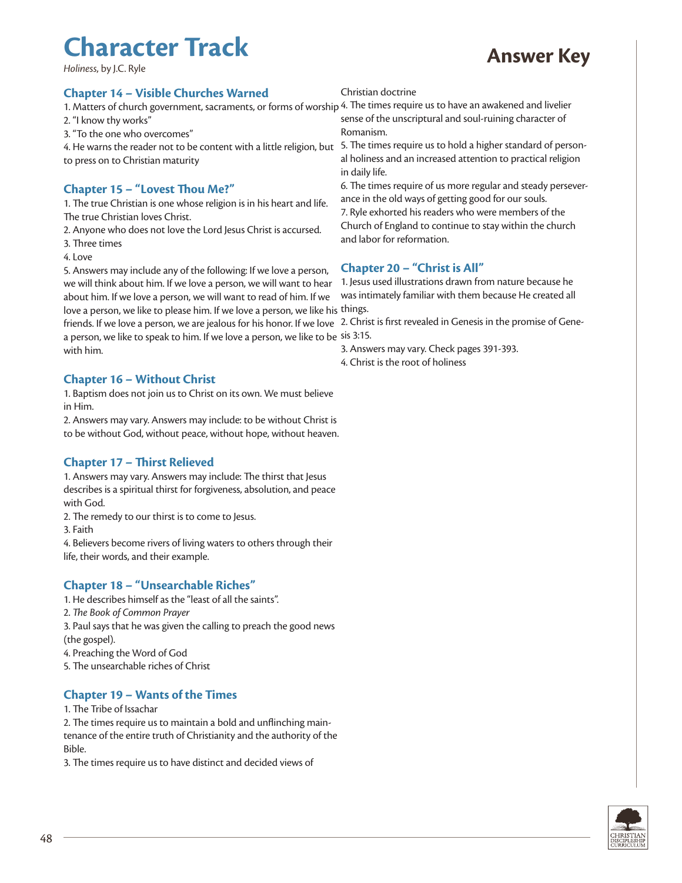### **Character Track** *Holiness*, by J.C. Ryle **Answer Key**

#### **Chapter 14 – Visible Churches Warned**

1. Matters of church government, sacraments, or forms of worship 4. The times require us to have an awakened and livelier 2. "I know thy works"

3. "To the one who overcomes"

4. He warns the reader not to be content with a little religion, but 5. The times require us to hold a higher standard of personto press on to Christian maturity

#### **Chapter 15 – "Lovest Thou Me?"**

1. The true Christian is one whose religion is in his heart and life. The true Christian loves Christ.

- 2. Anyone who does not love the Lord Jesus Christ is accursed.
- 3. Three times
- 4. Love

5. Answers may include any of the following: If we love a person, we will think about him. If we love a person, we will want to hear about him. If we love a person, we will want to read of him. If we love a person, we like to please him. If we love a person, we like his things.

friends. If we love a person, we are jealous for his honor. If we love 2. Christ is first revealed in Genesis in the promise of Genea person, we like to speak to him. If we love a person, we like to be sis 3:15. with him.

#### **Chapter 16 – Without Christ**

1. Baptism does not join us to Christ on its own. We must believe in Him.

2. Answers may vary. Answers may include: to be without Christ is to be without God, without peace, without hope, without heaven.

#### **Chapter 17 – Thirst Relieved**

1. Answers may vary. Answers may include: The thirst that Jesus describes is a spiritual thirst for forgiveness, absolution, and peace with God.

2. The remedy to our thirst is to come to Jesus.

3. Faith

4. Believers become rivers of living waters to others through their life, their words, and their example.

#### **Chapter 18 – "Unsearchable Riches"**

- 1. He describes himself as the "least of all the saints".
- 2. *The Book of Common Prayer*

3. Paul says that he was given the calling to preach the good news (the gospel).

4. Preaching the Word of God

5. The unsearchable riches of Christ

#### **Chapter 19 – Wants of the Times**

1. The Tribe of Issachar

2. The times require us to maintain a bold and unflinching maintenance of the entire truth of Christianity and the authority of the Bible.

3. The times require us to have distinct and decided views of

#### Christian doctrine

sense of the unscriptural and soul-ruining character of Romanism.

al holiness and an increased attention to practical religion in daily life.

6. The times require of us more regular and steady perseverance in the old ways of getting good for our souls.

7. Ryle exhorted his readers who were members of the Church of England to continue to stay within the church and labor for reformation.

#### **Chapter 20 – "Christ is All"**

1. Jesus used illustrations drawn from nature because he was intimately familiar with them because He created all

3. Answers may vary. Check pages 391-393. 4. Christ is the root of holiness